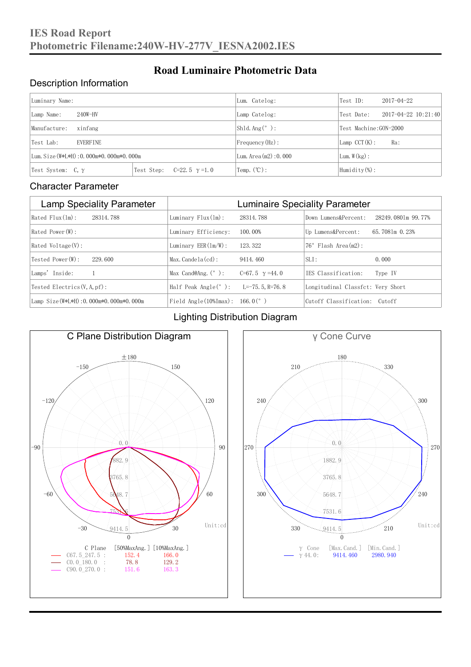#### Description Information

| Luminary Name:                          |                                     | Lum. Catelog:            | Test ID:                    | $2017 - 04 - 22$ |  |
|-----------------------------------------|-------------------------------------|--------------------------|-----------------------------|------------------|--|
| $240W-HV$<br>Lamp Name:                 | Lamp Catelog:                       | Test Date:               | $2017 - 04 - 22$ $10:21:40$ |                  |  |
| Manufacture:<br>xinfang                 |                                     | $Shld$ Ang(°):           | Test Machine:GON-2000       |                  |  |
| <b>EVERFINE</b><br>Test Lab:            |                                     | Frequency (Hz):          | $Lamp$ CCT(K):              | Ra:              |  |
| Lum. Size (W*L*H): 0.000m*0.000m*0.000m |                                     | Lum. Area $(m2)$ : 0.000 | Lum. $W(kg)$ :              |                  |  |
| Test System: $C, \gamma$                | Test Step:<br>$C=22.5$ $\gamma=1.0$ | Temp. $(\mathbb{C})$ :   | Humidity $(\%)$ :           |                  |  |

**Road Luminaire Photometric Data**

#### Character Parameter

| <b>Lamp Speciality Parameter</b>       | <b>Luminaire Speciality Parameter</b>         |                       |                                   |                    |
|----------------------------------------|-----------------------------------------------|-----------------------|-----------------------------------|--------------------|
| Rated Flux(1m):<br>28314.788           | Luminary $Flux(ln)$ :                         | 28314.788             | Down Lumens&Percent:              | 28249.0801m 99.77% |
| Rated Power (W):                       | Luminary Efficiency:                          | 100.00%               | Up Lumens&Percent:                | 65.7081m 0.23%     |
| Rated Voltage (V):                     | Luminary $EER(\ln/W)$ :                       | 123.322               | $76°$ Flash Area $(m2)$ :         |                    |
| Tested Power(W):<br>229.600            | $Max. Candela(cd)$ :                          | 9414, 460             | $SLI$ :                           | 0.000              |
| Lamps' Inside:                         | Max Cand@Ang. $(°)$ :                         | C=67.5 $\gamma$ =44.0 | TES Classification:               | Type IV            |
| Tested Electrics $(V, A, pf)$ :        | Half Peak Angle $(°)$ :                       | $L=-75, 5, R=76, 8$   | Longitudinal Classfct: Very Short |                    |
| Lamp Size(W*L*H): 0.000m*0.000m*0.000m | Field Angle $(10\frac{m}{max})$ : 166.0 $(°)$ |                       | Cutoff Classification: Cutoff     |                    |

#### Lighting Distribution Diagram



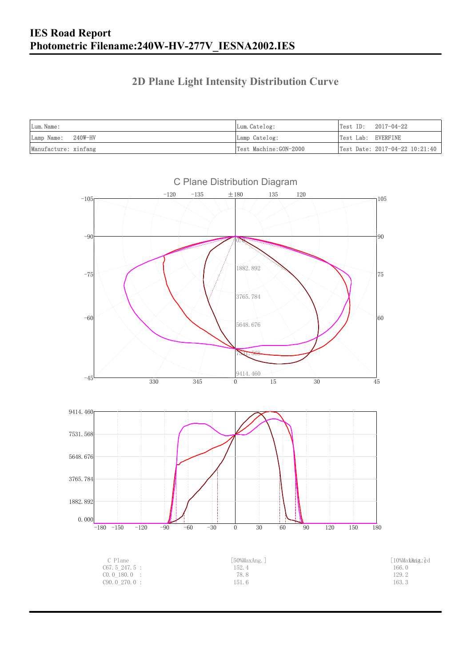### **2D Plane Light Intensity Distribution Curve**

| Lum. Name:           | Lum. Catelog:         |                    | $Test ID: 2017-04-22$          |
|----------------------|-----------------------|--------------------|--------------------------------|
| Lamp Name: 240W-HV   | Lamp Catelog:         | Test Lab: EVERFINE |                                |
| Manufacture: xinfang | Test Machine:GON-2000 |                    | Test Date: 2017-04-22 10:21:40 |

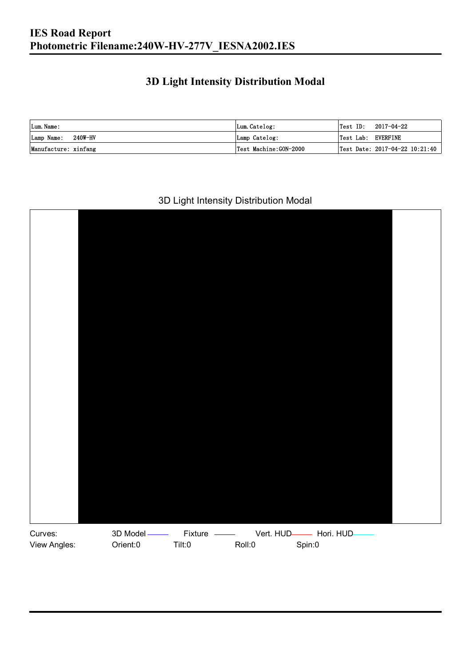### **3D Light Intensity Distribution Modal**

| Lum. Name:           | Lum.Catelog:          |                    | $\textsf{Test ID:} \quad 2017\text{--}04\text{--}22$ |
|----------------------|-----------------------|--------------------|------------------------------------------------------|
| Lamp Name: 240W-HV   | Lamp Catelog:         | Test Lab: EVERFINE |                                                      |
| Manufacture: xinfang | Test Machine:GON-2000 |                    | Test Date: 2017-04-22 10:21:40                       |

#### 3D Light Intensity Distribution Modal

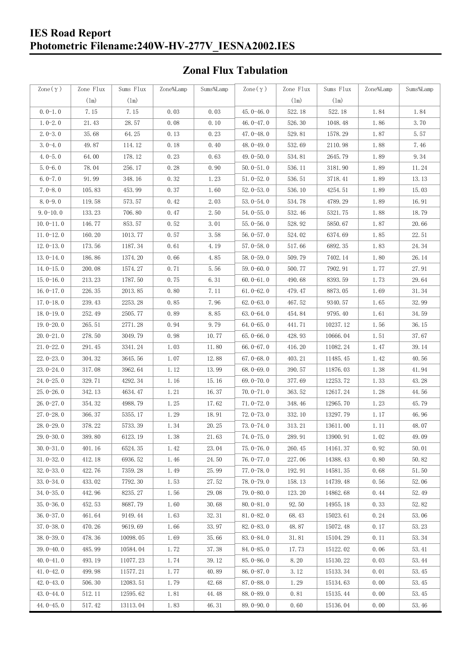#### **IES Road Report Photometric Filename:240W-HV-277V\_IESNA2002.IES**

### **Zonal Flux Tabulation**

| Zone $(\gamma)$ | Zone Flux     | Sums Flux | Zone%Lamp | Sums%Lamp | Zone $(\gamma)$ | Zone Flux     | Sums Flux | Zone%Lamp | Sums%Lamp |
|-----------------|---------------|-----------|-----------|-----------|-----------------|---------------|-----------|-----------|-----------|
|                 | $(\text{lm})$ | (1m)      |           |           |                 | $(\text{lm})$ | (1m)      |           |           |
| $0.0-1.0$       | 7.15          | 7.15      | 0.03      | 0.03      | $45.0 - 46.0$   | 522.18        | 522.18    | 1.84      | 1.84      |
| $1.0 - 2.0$     | 21.43         | 28.57     | 0.08      | 0.10      | 46.0 $-47.0$    | 526.30        | 1048.48   | 1.86      | 3.70      |
| $2.0 - 3.0$     | 35.68         | 64.25     | 0.13      | 0.23      | $47.0 - 48.0$   | 529.81        | 1578.29   | 1.87      | 5.57      |
| $3.0 - 4.0$     | 49.87         | 114.12    | 0.18      | 0.40      | 48.0-49.0       | 532.69        | 2110.98   | 1.88      | 7.46      |
| $4.0 - 5.0$     | 64.00         | 178.12    | 0.23      | 0.63      | 49.0 $-50.0$    | 534.81        | 2645.79   | 1.89      | 9.34      |
| $5.0 - 6.0$     | 78.04         | 256.17    | 0.28      | 0.90      | $50.0 - 51.0$   | 536.11        | 3181.90   | 1.89      | 11.24     |
| $6.0 - 7.0$     | 91.99         | 348.16    | 0.32      | 1.23      | $51.0 - 52.0$   | 536.51        | 3718.41   | 1.89      | 13.13     |
| $7.0 - 8.0$     | 105.83        | 453.99    | 0.37      | 1.60      | $52.0 - 53.0$   | 536.10        | 4254.51   | 1.89      | 15.03     |
| $8.0 - 9.0$     | 119.58        | 573.57    | 0.42      | 2.03      | $53.0 - 54.0$   | 534.78        | 4789.29   | 1.89      | 16.91     |
| $9.0 - 10.0$    | 133.23        | 706.80    | 0.47      | 2.50      | $54.0 - 55.0$   | 532.46        | 5321.75   | 1.88      | 18.79     |
| $10.0 - 11.0$   | 146.77        | 853.57    | 0.52      | 3.01      | $55.0 - 56.0$   | 528.92        | 5850.67   | 1.87      | 20.66     |
| $11.0 - 12.0$   | 160.20        | 1013.77   | 0.57      | 3.58      | $56.0 - 57.0$   | 524.02        | 6374.69   | 1.85      | 22.51     |
| $12.0 - 13.0$   | 173.56        | 1187.34   | 0.61      | 4.19      | $57.0 - 58.0$   | 517.66        | 6892.35   | 1.83      | 24.34     |
| $13.0 - 14.0$   | 186.86        | 1374.20   | 0.66      | 4.85      | $58.0 - 59.0$   | 509.79        | 7402.14   | 1.80      | 26.14     |
| $14.0 - 15.0$   | 200.08        | 1574.27   | 0.71      | 5.56      | $59.0 - 60.0$   | 500.77        | 7902.91   | 1.77      | 27.91     |
| $15.0 - 16.0$   | 213.23        | 1787.50   | 0.75      | 6.31      | $60.0 - 61.0$   | 490.68        | 8393.59   | 1.73      | 29.64     |
| $16.0 - 17.0$   | 226.35        | 2013.85   | 0.80      | 7.11      | $61.0 - 62.0$   | 479.47        | 8873.05   | 1.69      | 31.34     |
| $17.0 - 18.0$   | 239.43        | 2253.28   | 0.85      | 7.96      | $62.0 - 63.0$   | 467.52        | 9340.57   | 1.65      | 32.99     |
| $18.0 - 19.0$   | 252.49        | 2505.77   | 0.89      | 8.85      | $63.0 - 64.0$   | 454.84        | 9795.40   | 1.61      | 34.59     |
| $19.0 - 20.0$   | 265.51        | 2771.28   | 0.94      | 9.79      | $64.0 - 65.0$   | 441.71        | 10237.12  | 1.56      | 36.15     |
| $20.0 - 21.0$   | 278.50        | 3049.79   | 0.98      | 10.77     | $65.0 - 66.0$   | 428.93        | 10666.04  | 1.51      | 37.67     |
| $21.0 - 22.0$   | 291.45        | 3341.24   | 1.03      | 11.80     | $66.0 - 67.0$   | 416.20        | 11082.24  | 1.47      | 39.14     |
| $22.0 - 23.0$   | 304.32        | 3645.56   | 1.07      | 12.88     | $67.0 - 68.0$   | 403.21        | 11485.45  | 1.42      | 40.56     |
| $23.0 - 24.0$   | 317.08        | 3962.64   | 1.12      | 13.99     | $68.0 - 69.0$   | 390.57        | 11876.03  | 1.38      | 41.94     |
| $24.0 - 25.0$   | 329.71        | 4292.34   | 1.16      | 15.16     | 69.0 $-70.0$    | 377.69        | 12253.72  | 1.33      | 43.28     |
| $25.0 - 26.0$   | 342.13        | 4634.47   | 1.21      | 16.37     | $70.0 - 71.0$   | 363.52        | 12617.24  | 1.28      | 44.56     |
| $26.0 - 27.0$   | 354.32        | 4988.79   | 1.25      | 17.62     | $71.0 - 72.0$   | 348.46        | 12965.70  | 1.23      | 45.79     |
| $27.0 - 28.0$   | 366.37        | 5355.17   | 1.29      | 18.91     | $72.0 - 73.0$   | 332.10        | 13297.79  | 1.17      | 46.96     |
| 28.0-29.0       | 378.22        | 5733.39   | 1.34      | 20.25     | $73.0 - 74.0$   | 313.21        | 13611.00  | 1.11      | 48.07     |
| $29.0 - 30.0$   | 389.80        | 6123.19   | 1.38      | 21.63     | 74.0-75.0       | 289.91        | 13900.91  | $1.02\,$  | 49.09     |
| $30.0 - 31.0$   | 401.16        | 6524.35   | 1.42      | 23.04     | $75.0 - 76.0$   | 260.45        | 14161.37  | 0.92      | 50.01     |
| $31.0 - 32.0$   | 412.18        | 6936.52   | 1.46      | 24.50     | 76.0-77.0       | 227.06        | 14388.43  | 0.80      | 50.82     |
| $32.0 - 33.0$   | 422.76        | 7359.28   | 1.49      | 25.99     | $77.0 - 78.0$   | 192.91        | 14581.35  | 0.68      | 51.50     |
| $33.0 - 34.0$   | 433.02        | 7792.30   | 1.53      | 27.52     | 78.0-79.0       | 158.13        | 14739.48  | 0.56      | 52.06     |
| $34.0 - 35.0$   | 442.96        | 8235.27   | 1.56      | 29.08     | $79.0 - 80.0$   | 123.20        | 14862.68  | 0.44      | 52.49     |
| $35.0 - 36.0$   | 452.53        | 8687.79   | 1.60      | 30.68     | $80.0 - 81.0$   | 92.50         | 14955.18  | 0.33      | 52.82     |
| $36.0 - 37.0$   | 461.64        | 9149.44   | 1.63      | 32.31     | $81.0 - 82.0$   | 68.43         | 15023.61  | 0.24      | 53.06     |
| $37.0 - 38.0$   | 470.26        | 9619.69   | 1.66      | 33.97     | $82.0 - 83.0$   | 48.87         | 15072.48  | 0.17      | 53.23     |
| $38.0 - 39.0$   | 478.36        | 10098.05  | 1.69      | 35.66     | 83.0-84.0       | 31.81         | 15104.29  | 0.11      | 53.34     |
| $39.0 - 40.0$   | 485.99        | 10584.04  | 1.72      | 37.38     | 84.0-85.0       | 17.73         | 15122.02  | 0.06      | 53.41     |
| $40.0 - 41.0$   | 493.19        | 11077.23  | 1.74      | 39.12     | 85.0-86.0       | 8.20          | 15130.22  | 0.03      | 53.44     |
| $41.0 - 42.0$   | 499.98        | 11577.21  | 1.77      | 40.89     | $86.0 - 87.0$   | 3.12          | 15133.34  | 0.01      | 53.45     |
| $42.0 - 43.0$   | 506.30        | 12083.51  | 1.79      | 42.68     | 87.0-88.0       | 1.29          | 15134.63  | 0.00      | 53.45     |
| $43.0 - 44.0$   | 512.11        | 12595.62  | 1.81      | 44.48     | 88.0-89.0       | 0.81          | 15135.44  | 0.00      | 53.45     |
| $44.0 - 45.0$   | 517.42        | 13113.04  | 1.83      | 46.31     | $89.0 - 90.0$   | 0.60          | 15136.04  | 0.00      | 53.46     |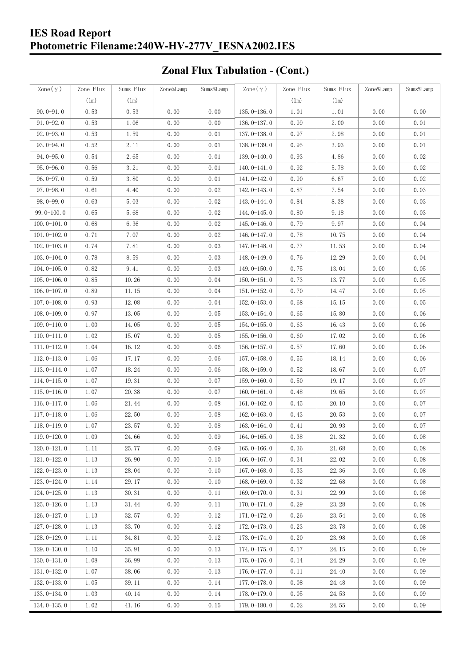### **IES Road Report Photometric Filename:240W-HV-277V\_IESNA2002.IES**

# **Zonal Flux Tabulation - (Cont.)**

| $\text{Zone}(\gamma)$ | Zone Flux | Sums Flux | Zone%Lamp | Sums%Lamp | Zone $(\gamma)$ | Zone Flux     | Sums Flux             | Zone%Lamp | Sums%Lamp |
|-----------------------|-----------|-----------|-----------|-----------|-----------------|---------------|-----------------------|-----------|-----------|
|                       | (1m)      | (1m)      |           |           |                 | $(\text{lm})$ | (1m)                  |           |           |
| $90.0 - 91.0$         | 0.53      | 0.53      | 0.00      | 0.00      | $135.0 - 136.0$ | 1.01          | 1.01                  | 0.00      | 0.00      |
| $91.0 - 92.0$         | 0.53      | 1.06      | 0.00      | 0.00      | $136.0 - 137.0$ | 0.99          | 2.00                  | 0.00      | 0.01      |
| $92.0 - 93.0$         | 0.53      | 1.59      | 0.00      | 0.01      | 137.0-138.0     | 0.97          | 2.98                  | 0.00      | 0.01      |
| $93.0 - 94.0$         | 0.52      | 2.11      | 0.00      | 0.01      | 138.0-139.0     | 0.95          | 3.93                  | 0.00      | 0.01      |
| $94.0 - 95.0$         | 0.54      | 2.65      | 0.00      | 0.01      | 139.0-140.0     | 0.93          | 4.86                  | 0.00      | 0.02      |
| $95.0 - 96.0$         | 0.56      | 3.21      | 0.00      | 0.01      | $140.0 - 141.0$ | 0.92          | 5.78                  | 0.00      | 0.02      |
| $96.0 - 97.0$         | 0.59      | 3.80      | 0.00      | 0.01      | 141.0-142.0     | 0.90          | 6.67                  | 0.00      | 0.02      |
| $97.0 - 98.0$         | 0.61      | 4.40      | 0.00      | 0.02      | 142.0-143.0     | 0.87          | 7.54                  | 0.00      | 0.03      |
| $98.0 - 99.0$         | 0.63      | 5.03      | 0.00      | 0.02      | 143.0-144.0     | 0.84          | 8.38                  | 0.00      | 0.03      |
| $99.0 - 100.0$        | 0.65      | 5.68      | 0.00      | 0.02      | $144.0 - 145.0$ | 0.80          | 9.18                  | 0.00      | 0.03      |
| $100.0 - 101.0$       | 0.68      | 6.36      | 0.00      | 0.02      | $145.0 - 146.0$ | 0.79          | 9.97                  | 0.00      | 0.04      |
| $101.0 - 102.0$       | 0.71      | 7.07      | 0.00      | 0.02      | $146.0 - 147.0$ | 0.78          | 10.75                 | 0.00      | 0.04      |
| $102.0 - 103.0$       | 0.74      | 7.81      | 0.00      | 0.03      | 147.0-148.0     | 0.77          | 11.53                 | 0.00      | 0.04      |
| $103.0 - 104.0$       | 0.78      | 8.59      | 0.00      | 0.03      | 148.0-149.0     | 0.76          | 12.29                 | 0.00      | 0.04      |
| $104.0 - 105.0$       | 0.82      | 9.41      | 0.00      | 0.03      | $149.0 - 150.0$ | 0.75          | 13.04                 | 0.00      | 0.05      |
| $105.0 - 106.0$       | 0.85      | 10.26     | 0.00      | 0.04      | $150.0 - 151.0$ | 0.73          | 13.77                 | 0.00      | 0.05      |
| $106.0 - 107.0$       | 0.89      | 11.15     | 0.00      | 0.04      | $151.0 - 152.0$ | 0.70          | 14.47                 | 0.00      | 0.05      |
| $107.0 - 108.0$       | 0.93      | 12.08     | 0.00      | 0.04      | $152.0 - 153.0$ | 0.68          | 15.15                 | 0.00      | 0.05      |
| $108.0 - 109.0$       | 0.97      | 13.05     | 0.00      | 0.05      | $153.0 - 154.0$ | 0.65          | 15.80                 | 0.00      | 0.06      |
| $109.0 - 110.0$       | 1.00      | 14.05     | 0.00      | 0.05      | 154.0-155.0     | 0.63          | 16.43                 | 0.00      | 0.06      |
| $110.0 - 111.0$       | 1.02      | 15.07     | 0.00      | 0.05      | $155.0 - 156.0$ | 0.60          | 17.02                 | 0.00      | 0.06      |
| $111.0 - 112.0$       | 1.04      | 16.12     | 0.00      | 0.06      | $156.0 - 157.0$ | 0.57          | 17.60                 | 0.00      | 0.06      |
| $112.0 - 113.0$       | 1.06      | 17.17     | 0.00      | 0.06      | $157.0 - 158.0$ | 0.55          | 18.14                 | 0.00      | 0.06      |
| $113.0 - 114.0$       | 1.07      | 18.24     | 0.00      | 0.06      | $158.0 - 159.0$ | 0.52          | 18.67                 | 0.00      | 0.07      |
| $114.0 - 115.0$       | 1.07      | 19.31     | 0.00      | 0.07      | $159.0 - 160.0$ | 0.50          | 19.17                 | 0.00      | 0.07      |
| $115.0 - 116.0$       | 1.07      | 20.38     | 0.00      | 0.07      | $160.0 - 161.0$ | 0.48          | 19.65                 | 0.00      | 0.07      |
| $116.0 - 117.0$       | 1.06      | 21.44     | 0.00      | 0.08      | $161.0 - 162.0$ | 0.45          | 20.10                 | 0.00      | 0.07      |
| $117.0 - 118.0$       | 1.06      | 22.50     | 0.00      | 0.08      | $162.0 - 163.0$ | 0.43          | 20.53                 | 0.00      | 0.07      |
| $118.0 - 119.0$       | 1.07      | 23.57     | 0.00      | 0.08      | $163.0 - 164.0$ | 0.41          | 20.93                 | 0.00      | 0.07      |
| $119.0 - 120.0$       | 1.09      | 24.66     | 0.00      | 0.09      | $164.0 - 165.0$ | 0.38          | $21.\,\allowbreak 32$ | 0.00      | $0.08\,$  |
| $120.0 - 121.0$       | 1.11      | 25.77     | 0.00      | 0.09      | $165.0 - 166.0$ | 0.36          | 21.68                 | 0.00      | 0.08      |
| $121.0 - 122.0$       | 1.13      | 26.90     | 0.00      | 0.10      | 166.0 $-167.0$  | 0.34          | 22.02                 | 0.00      | 0.08      |
| $122.0 - 123.0$       | 1.13      | 28.04     | 0.00      | 0.10      | $167.0 - 168.0$ | 0.33          | 22.36                 | 0.00      | 0.08      |
| $123.0 - 124.0$       | 1.14      | 29.17     | 0.00      | 0.10      | $168.0 - 169.0$ | 0.32          | 22.68                 | 0.00      | 0.08      |
| $124.0 - 125.0$       | 1.13      | 30.31     | 0.00      | 0.11      | 169.0-170.0     | 0.31          | 22.99                 | 0.00      | 0.08      |
| $125.0 - 126.0$       | 1.13      | 31.44     | 0.00      | 0.11      | $170.0 - 171.0$ | 0.29          | 23.28                 | 0.00      | 0.08      |
| 126.0-127.0           | 1.13      | 32.57     | 0.00      | 0.12      | 171.0-172.0     | 0.26          | 23.54                 | 0.00      | 0.08      |
| $127.0 - 128.0$       | 1.13      | 33.70     | 0.00      | 0.12      | 172.0-173.0     | 0.23          | 23.78                 | 0.00      | 0.08      |
| $128.0 - 129.0$       | 1.11      | 34.81     | 0.00      | 0.12      | 173.0-174.0     | 0.20          | 23.98                 | 0.00      | 0.08      |
| $129.0 - 130.0$       | 1.10      | 35.91     | 0.00      | 0.13      | 174.0-175.0     | 0.17          | 24.15                 | 0.00      | 0.09      |
| $130.0 - 131.0$       | 1.08      | 36.99     | 0.00      | 0.13      | $175.0 - 176.0$ | 0.14          | 24.29                 | 0.00      | 0.09      |
| $131.0 - 132.0$       | 1.07      | 38.06     | 0.00      | 0.13      | $176.0 - 177.0$ | 0.11          | 24.40                 | 0.00      | 0.09      |
| $132.0 - 133.0$       | 1.05      | 39.11     | 0.00      | 0.14      | 177.0-178.0     | 0.08          | 24.48                 | 0.00      | 0.09      |
| $133.0 - 134.0$       | 1.03      | 40.14     | 0.00      | 0.14      | 178.0-179.0     | 0.05          | 24.53                 | 0.00      | 0.09      |
| $134.0 - 135.0$       | 1.02      | 41.16     | 0.00      | 0.15      | $179.0 - 180.0$ | 0.02          | 24.55                 | 0.00      | 0.09      |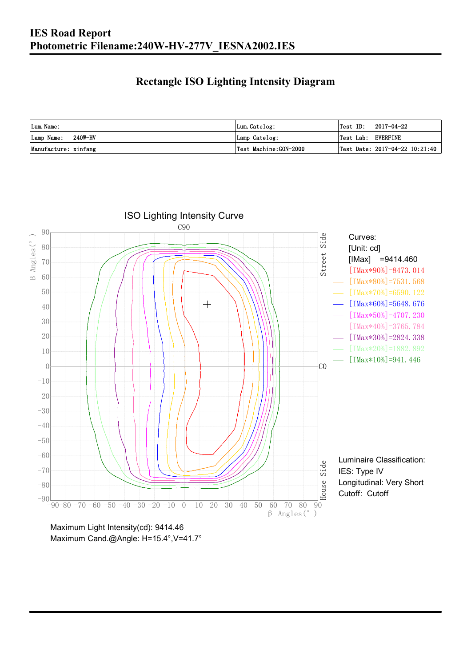### **Rectangle ISO Lighting Intensity Diagram**

| Lum. Name:           | Lum.Catelog:          | $Test ID: 2017-04-22$          |
|----------------------|-----------------------|--------------------------------|
| Lamp Name: 240W-HV   | Lamp Catelog:         | Test Lab: EVERFINE             |
| Manufacture: xinfang | Test Machine:GON-2000 | Test Date: 2017-04-22 10:21:40 |



Maximum Light Intensity(cd): 9414.46 Maximum Cand.@Angle: H=15.4°, V=41.7°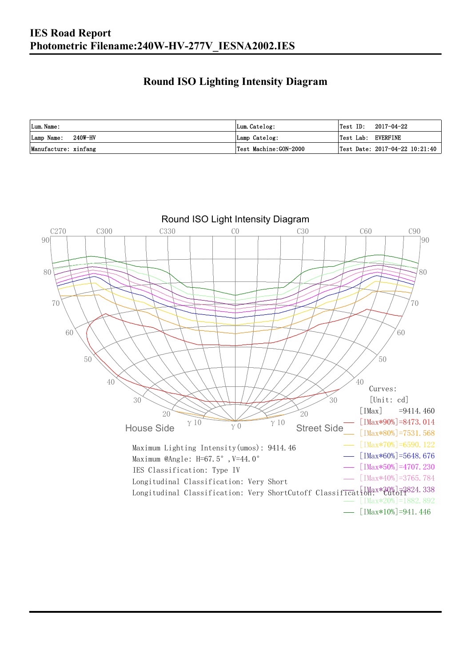### **Round ISO Lighting Intensity Diagram**

| Lum. Name:           | Lum.Catelog:          | Test ID:<br>2017-04-22             |
|----------------------|-----------------------|------------------------------------|
| Lamp Name: 240W-HV   | Lamp Catelog:         | Test Lab: EVERFINE                 |
| Manufacture: xinfang | Test Machine:GON-2000 | Test Date: $2017-04-22$ $10:21:40$ |

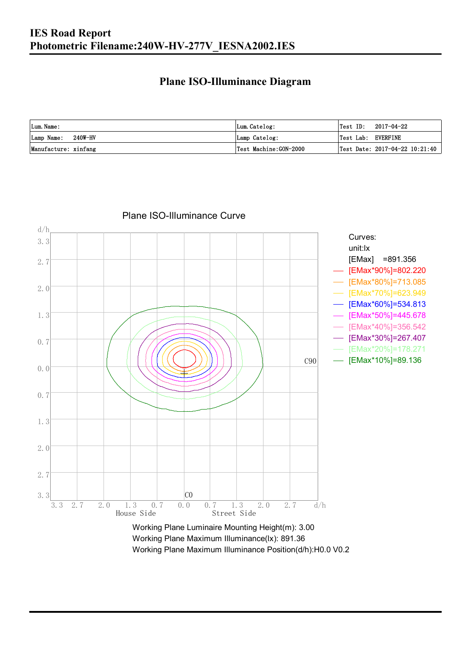#### **Plane ISO-Illuminance Diagram**

| Lum. Name:           | Lum.Catelog:          | Test ID:<br>2017-04-22             |
|----------------------|-----------------------|------------------------------------|
| Lamp Name: 240W-HV   | Lamp Catelog:         | Test Lab: EVERFINE                 |
| Manufacture: xinfang | Test Machine:GON-2000 | Test Date: $2017-04-22$ $10:21:40$ |



Working Plane Maximum Illuminance Position(d/h):H0.0 V0.2

Plane ISO-Illuminance Curve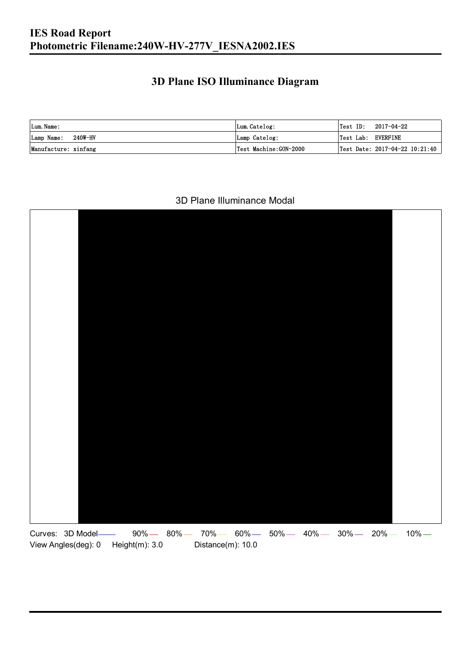### **3D Plane ISO Illuminance Diagram**

| Lum. Name:           | Lum.Catelog:          |                    | $\textsf{Test ID:} \quad 2017-04-22$ |
|----------------------|-----------------------|--------------------|--------------------------------------|
| Lamp Name: 240W-HV   | Lamp Catelog:         | Test Lab: EVERFINE |                                      |
| Manufacture: xinfang | Test Machine:GON-2000 |                    | Test Date: 2017-04-22 10:21:40       |

#### 3D Plane Illuminance Modal

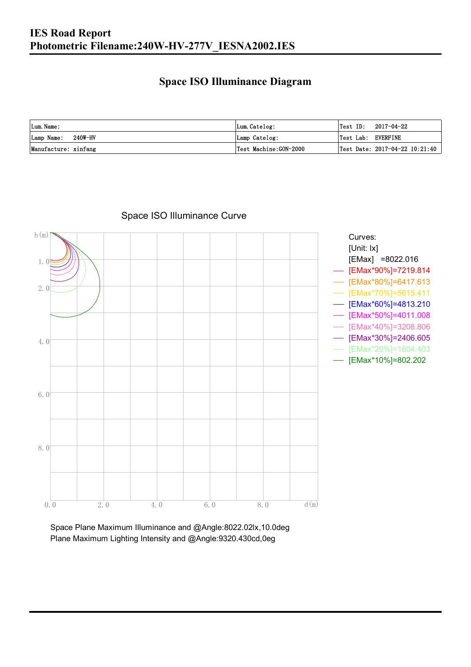#### **Space ISO Illuminance Diagram**

| Lum. Name:           | Lum.Catelog:          | $\textsf{Test ID:} \quad 2017-04-22$ |
|----------------------|-----------------------|--------------------------------------|
| Lamp Name: 240W-HV   | Lamp Catelog:         | Test Lab: EVERFINE                   |
| Manufacture: xinfang | Test Machine:GON-2000 | Test Date: $2017-04-22$ $10:21:40$   |



Space ISO Illuminance Curve

Space Plane Maximum Illuminance and @Angle:8022.02lx,10.0deg Plane Maximum Lighting Intensity and @Angle:9320.430cd,0eg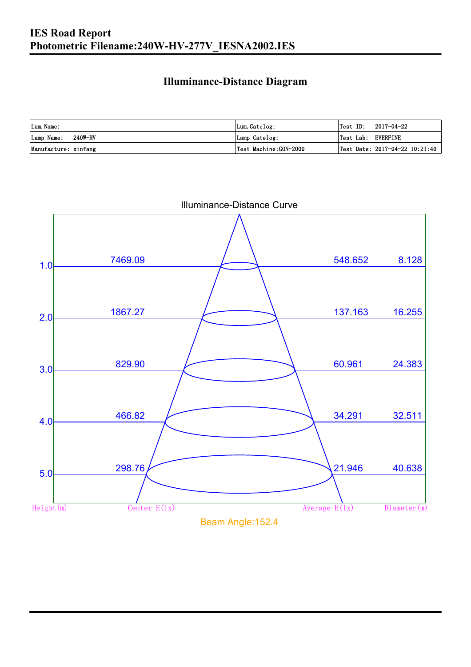#### **Illuminance-Distance Diagram**

| Lum. Name:           | Lum.Catelog:          |                    | Test ID: 2017-04-22            |
|----------------------|-----------------------|--------------------|--------------------------------|
| Lamp Name: 240W-HV   | Lamp Catelog:         | Test Lab: EVERFINE |                                |
| Manufacture: xinfang | Test Machine:GON-2000 |                    | Test Date: 2017-04-22 10:21:40 |



Illuminance-Distance Curve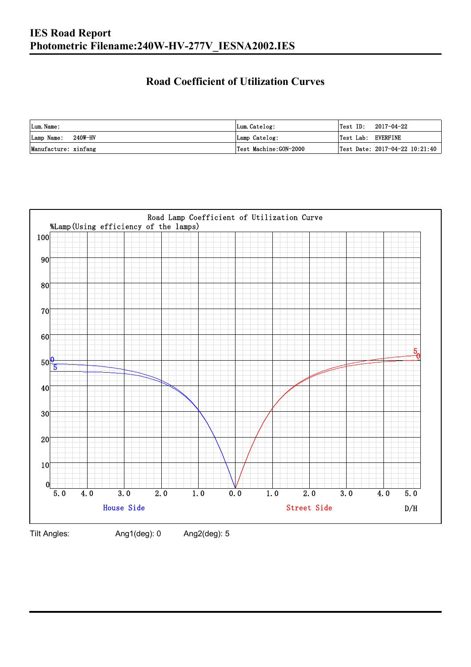### **Road Coefficient of Utilization Curves**

| Lum. Name:           | Lum.Catelog:          | $\textsf{Test ID:} \quad 2017-04-22$ |                                |
|----------------------|-----------------------|--------------------------------------|--------------------------------|
| Lamp Name: 240W-HV   | Lamp Catelog:         | Test Lab: EVERFINE                   |                                |
| Manufacture: xinfang | Test Machine:GON-2000 |                                      | Test Date: 2017-04-22 10:21:40 |



Tilt Angles: Ang1(deg): 0 Ang2(deg): 5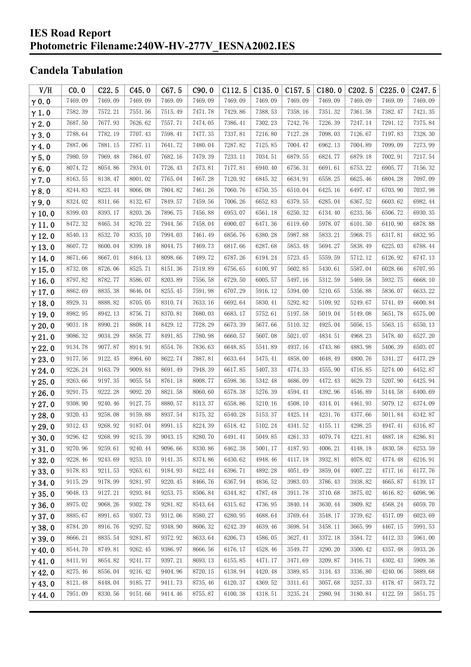#### **IES Road Report Photometric Filename:240W-HV-277V\_IESNA2002.IES**

### **Candela Tabulation**

| V/H           | CO.0    | C22.5   | C45.0   | C67.5   | C90.0   | C112.5  | C135.0  | C157.5  | C180.0  | C <sub>202.5</sub> | C225.0  | C <sub>247.5</sub> |
|---------------|---------|---------|---------|---------|---------|---------|---------|---------|---------|--------------------|---------|--------------------|
| $\gamma$ 0.0  | 7469.09 | 7469.09 | 7469.09 | 7469.09 | 7469.09 | 7469.09 | 7469.09 | 7469.09 | 7469.09 | 7469.09            | 7469.09 | 7469.09            |
| $\gamma$ 1.0  | 7582.39 | 7572.21 | 7551.56 | 7515.49 | 7471.78 | 7429.86 | 7388.53 | 7358.16 | 7351.32 | 7361.58            | 7382.47 | 7421.35            |
| $\gamma$ 2.0  | 7687.50 | 7677.93 | 7626.62 | 7557.71 | 7474.05 | 7386.41 | 7302.23 | 7242.76 | 7226.39 | 7247.14            | 7291.12 | 7375.84            |
| $\gamma$ 3.0  | 7788.64 | 7782.19 | 7707.43 | 7598.41 | 7477.35 | 7337.81 | 7216.80 | 7127.28 | 7098.03 | 7126.67            | 7197.83 | 7328.30            |
| $\gamma$ 4.0  | 7887.06 | 7881.15 | 7787.11 | 7641.72 | 7480.04 | 7287.82 | 7125.85 | 7004.47 | 6962.13 | 7004.89            | 7099.09 | 7273.99            |
| $\gamma$ 5.0  | 7980.59 | 7969.48 | 7864.07 | 7682.16 | 7479.39 | 7233.11 | 7034.51 | 6879.55 | 6824.77 | 6879.18            | 7002.91 | 7217.54            |
| $\gamma$ 6.0  | 8074.72 | 8054.86 | 7934.01 | 7726.43 | 7473.81 | 7177.81 | 6940.40 | 6756.31 | 6691.61 | 6753.22            | 6905.77 | 7156.32            |
| $\gamma$ 7.0  | 8163.55 | 8138.47 | 8001.02 | 7765.04 | 7467.28 | 7120.92 | 6845.32 | 6634.91 | 6558.25 | 6625.46            | 6804.28 | 7097.09            |
| $\gamma$ 8.0  | 8244.83 | 8223.44 | 8066.08 | 7804.82 | 7461.26 | 7060.76 | 6750.35 | 6510.04 | 6425.16 | 6497.47            | 6703.90 | 7037.98            |
| $\gamma$ 9.0  | 8324.02 | 8311.66 | 8132.67 | 7849.57 | 7459.56 | 7006.26 | 6652.83 | 6379.55 | 6285.04 | 6367.52            | 6603.62 | 6982.44            |
| $\gamma$ 10.0 | 8399.03 | 8393.17 | 8203.26 | 7896.75 | 7456.88 | 6953.07 | 6561.18 | 6250.32 | 6134.40 | 6233.56            | 6506.72 | 6930.35            |
| $\gamma$ 11.0 | 8472.32 | 8465.34 | 8270.22 | 7944.56 | 7458.04 | 6900.07 | 6471.36 | 6119.60 | 5978.07 | 6101.50            | 6410.90 | 6878.88            |
| $\gamma$ 12.0 | 8540.13 | 8532.70 | 8335.10 | 7994.03 | 7461.49 | 6856.76 | 6380.28 | 5987.88 | 5833.21 | 5968.75            | 6317.81 | 6832.95            |
| $\gamma$ 13.0 | 8607.72 | 8600.04 | 8399.18 | 8044.75 | 7469.73 | 6817.66 | 6287.68 | 5853.48 | 5694.27 | 5838.49            | 6225.03 | 6788.44            |
| $\gamma$ 14.0 | 8671.66 | 8667.01 | 8464.13 | 8098.66 | 7489.72 | 6787.26 | 6194.24 | 5723.45 | 5559.59 | 5712.12            | 6126.92 | 6747.13            |
| $\gamma$ 15.0 | 8732.08 | 8726.06 | 8525.71 | 8151.36 | 7519.89 | 6756.65 | 6100.97 | 5602.85 | 5430.61 | 5587.04            | 6028.66 | 6707.95            |
| $\gamma$ 16.0 | 8797.82 | 8782.77 | 8586.07 | 8203.89 | 7556.58 | 6729.50 | 6005.57 | 5497.16 | 5312.59 | 5469.58            | 5932.75 | 6668.10            |
| $\gamma$ 17.0 | 8862.69 | 8835.38 | 8646.04 | 8255.45 | 7591.98 | 6707.29 | 5916.12 | 5394.00 | 5210.65 | 5356.88            | 5836.07 | 6633.22            |
| $\gamma$ 18.0 | 8929.31 | 8888.82 | 8705.05 | 8310.74 | 7633.16 | 6692.64 | 5830.41 | 5292.82 | 5109.92 | 5249.67            | 5741.49 | 6600.84            |
| $\gamma$ 19.0 | 8982.95 | 8942.13 | 8756.71 | 8370.81 | 7680.03 | 6683.17 | 5752.61 | 5197.58 | 5019.04 | 5149.08            | 5651.78 | 6575.00            |
| $\gamma$ 20.0 | 9031.18 | 8990.21 | 8808.14 | 8429.12 | 7728.29 | 6673.39 | 5677.66 | 5110.32 | 4925.04 | 5056.15            | 5563.15 | 6550.13            |
| $\gamma$ 21.0 | 9086.32 | 9034.29 | 8858.77 | 8491.85 | 7780.98 | 6660.57 | 5607.08 | 5021.07 | 4834.51 | 4968.23            | 5478.40 | 6527.20            |
| $\gamma$ 22.0 | 9134.78 | 9077.87 | 8914.91 | 8554.76 | 7836.63 | 6648.85 | 5541.89 | 4937.16 | 4743.86 | 4883.98            | 5406.39 | 6503.07            |
| $\gamma$ 23.0 | 9177.56 | 9122.45 | 8964.60 | 8622.74 | 7887.81 | 6633.64 | 5475.41 | 4858.00 | 4648.49 | 4800.76            | 5341.27 | 6477.29            |
| $\gamma$ 24.0 | 9226.24 | 9163.79 | 9009.84 | 8691.49 | 7948.39 | 6617.85 | 5407.33 | 4774.33 | 4555.90 | 4716.85            | 5274.00 | 6452.87            |
| $\gamma$ 25.0 | 9263.66 | 9197.35 | 9055.54 | 8761.18 | 8008.77 | 6598.36 | 5342.48 | 4686.09 | 4472.43 | 4629.73            | 5207.90 | 6425.94            |
| $\gamma$ 26.0 | 9291.75 | 9222.28 | 9092.20 | 8821.58 | 8060.60 | 6578.38 | 5276.39 | 4594.41 | 4392.96 | 4546.89            | 5144.58 | 6400.69            |
| $\gamma$ 27.0 | 9308.90 | 9240.46 | 9127.75 | 8880.57 | 8113.37 | 6558.86 | 5210.16 | 4508.10 | 4314.01 | 4461.93            | 5079.12 | 6374.09            |
| $\gamma$ 28.0 | 9320.43 | 9258.08 | 9159.88 | 8937.54 | 8175.32 | 6540.28 | 5153.37 | 4425.14 | 4231.76 | 4377.66            | 5011.84 | 6342.87            |
| $\gamma$ 29.0 | 9312.43 | 9268.92 | 9187.04 | 8991.15 | 8224.39 | 6518.42 | 5102.24 | 4341.52 | 4155.11 | 4298.25            | 4947.41 | 6316.87            |
| $\gamma$ 30.0 | 9296.42 | 9268.99 | 9215.39 | 9043.15 | 8280.70 | 6491.41 | 5049.85 | 4261.33 | 4079.74 | 4221.81            | 4887.18 | 6286.81            |
| $\gamma$ 31.0 | 9270.96 | 9259.61 | 9240.44 | 9096.66 | 8330.86 | 6462.38 | 5001.17 | 4187.93 | 4006.21 | 4148.18            | 4830.58 | 6253.59            |
| $\gamma$ 32.0 | 9228.46 | 9243.69 | 9253.10 | 9141.35 | 8374.86 | 6430.62 | 4948.46 | 4117.18 | 3932.81 | 4078.02            | 4774.48 | 6216.91            |
| $\gamma$ 33.0 | 9178.83 | 9211.53 | 9263.61 | 9184.93 | 8422.44 | 6396.71 | 4892.28 | 4051.49 | 3859.04 | 4007.22            | 4717.16 | 6177.76            |
| $\gamma$ 34.0 | 9115.29 | 9178.99 | 9281.97 | 9220.45 | 8466.76 | 6367.94 | 4836.52 | 3983.03 | 3786.43 | 3938.82            | 4665.87 | 6139.17            |
| $\gamma$ 35.0 | 9048.13 | 9127.21 | 9293.84 | 9253.75 | 8506.84 | 6344.82 | 4787.48 | 3911.78 | 3710.68 | 3875.02            | 4616.82 | 6098.96            |
| $\gamma$ 36.0 | 8975.02 | 9068.26 | 9302.78 | 9281.82 | 8543.64 | 6315.62 | 4736.95 | 3840.14 | 3630.44 | 3809.82            | 4568.24 | 6059.70            |
| $\gamma$ 37.0 | 8885.67 | 8991.65 | 9307.73 | 9312.06 | 8580.27 | 6280.95 | 4688.64 | 3769.64 | 3548.17 | 3739.62            | 4517.09 | 6023.69            |
| $\gamma$ 38.0 | 8784.20 | 8916.76 | 9297.52 | 9348.90 | 8606.32 | 6242.39 | 4639.46 | 3698.54 | 3458.11 | 3665.99            | 4467.15 | 5991.53            |
| $\gamma$ 39.0 | 8666.21 | 8835.54 | 9281.87 | 9372.92 | 8633.64 | 6206.73 | 4586.05 | 3627.41 | 3372.18 | 3584.72            | 4412.33 | 5961.00            |
| $\gamma$ 40.0 | 8544.70 | 8749.81 | 9262.45 | 9386.97 | 8666.56 | 6176.17 | 4528.46 | 3549.77 | 3290.20 | 3500.42            | 4357.48 | 5933.26            |
| $\gamma$ 41.0 | 8411.91 | 8654.82 | 9241.77 | 9397.21 | 8693.13 | 6155.85 | 4471.17 | 3471.69 | 3209.87 | 3416.71            | 4302.43 | 5909.36            |
| $\gamma$ 42.0 | 8275.46 | 8556.04 | 9216.42 | 9404.96 | 8720.15 | 6138.94 | 4420.48 | 3389.85 | 3134.43 | 3336.80            | 4240.06 | 5889.68            |
| $\gamma$ 43.0 | 8121.48 | 8448.04 | 9185.77 | 9411.73 | 8735.46 | 6120.37 | 4369.52 | 3311.61 | 3057.68 | 3257.33            | 4178.47 | 5873.72            |
| $\gamma$ 44.0 | 7951.09 | 8330.56 | 9151.66 | 9414.46 | 8755.87 | 6100.38 | 4318.51 | 3235.24 | 2980.94 | 3180.84            | 4122.59 | 5851.75            |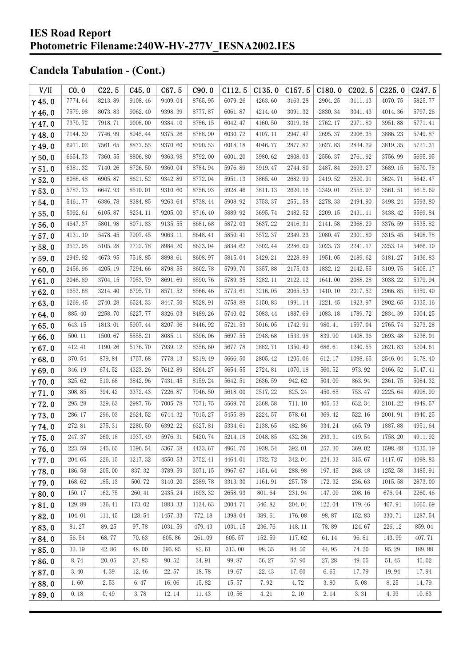| V/H           | CO.0    | C22.5      | C45.0   | C67.5   | C90.0   | C112.5  | C135.0  | C157.5  | C180.0  | C <sub>2</sub> 02.5 | C225.0  | C <sub>247.5</sub> |
|---------------|---------|------------|---------|---------|---------|---------|---------|---------|---------|---------------------|---------|--------------------|
| $\gamma$ 45.0 | 7774.64 | 8213.89    | 9108.46 | 9409.04 | 8765.95 | 6079.26 | 4263.60 | 3163.28 | 2904.25 | 3111.13             | 4070.75 | 5825.77            |
| $\gamma$ 46.0 | 7579.98 | 8073.83    | 9062.40 | 9398.39 | 8777.87 | 6061.87 | 4214.40 | 3091.32 | 2830.34 | 3041.43             | 4014.36 | 5797.26            |
| $\gamma$ 47.0 | 7370.72 | 7918.71    | 9008.00 | 9384.10 | 8786.15 | 6042.47 | 4160.50 | 3019.36 | 2762.17 | 2971.80             | 3951.88 | 5771.41            |
| $\gamma$ 48.0 | 7144.39 | 7746.99    | 8945.44 | 9375.26 | 8788.90 | 6030.72 | 4107.11 | 2947.47 | 2695.37 | 2906.35             | 3886.23 | 5749.87            |
| $\gamma$ 49.0 | 6911.02 | 7561.65    | 8877.55 | 9370.60 | 8790.53 | 6018.18 | 4046.77 | 2877.87 | 2627.83 | 2834.29             | 3819.35 | 5721.31            |
| $\gamma$ 50.0 | 6654.73 | 7360.55    | 8806.80 | 9363.98 | 8792.00 | 6001.20 | 3980.62 | 2808.03 | 2556.37 | 2761.92             | 3756.99 | 5695.95            |
| $\gamma$ 51.0 | 6381.32 | 7140.26    | 8726.50 | 9360.04 | 8784.94 | 5976.89 | 3919.47 | 2744.80 | 2487.84 | 2693.27             | 3689.15 | 5670.78            |
| $\gamma$ 52.0 | 6088.48 | 6905.87    | 8621.52 | 9342.89 | 8772.04 | 5951.13 | 3865.40 | 2682.99 | 2419.52 | 2620.91             | 3624.71 | 5642.47            |
| $\gamma$ 53.0 | 5787.73 | 6647.93    | 8510.01 | 9310.60 | 8756.93 | 5928.46 | 3811.13 | 2620.16 | 2349.01 | 2555.97             | 3561.51 | 5615.69            |
| $\gamma$ 54.0 | 5461.77 | 6386.78    | 8384.85 | 9263.64 | 8738.44 | 5908.92 | 3753.37 | 2551.58 | 2278.33 | 2494.90             | 3498.24 | 5593.80            |
| $\gamma$ 55.0 | 5092.61 | 6105.87    | 8234.11 | 9205.00 | 8716.40 | 5889.92 | 3695.74 | 2482.52 | 2209.15 | 2431.11             | 3438.42 | 5569.84            |
| $\gamma$ 56.0 | 4647.37 | 5801.98    | 8071.83 | 9135.55 | 8681.68 | 5872.03 | 3637.22 | 2416.31 | 2141.58 | 2368.29             | 3376.59 | 5535.82            |
| $\gamma$ 57.0 | 4131.10 | 5478.45    | 7907.45 | 9063.11 | 8648.41 | 5850.41 | 3572.37 | 2349.23 | 2080.47 | 2301.80             | 3315.45 | 5498.78            |
| $\gamma$ 58.0 | 3527.95 | 5105.28    | 7722.78 | 8984.20 | 8623.04 | 5834.62 | 3502.44 | 2286.09 | 2023.73 | 2241.17             | 3253.14 | 5466.10            |
| $\gamma$ 59.0 | 2949.92 | 4673.95    | 7518.85 | 8898.61 | 8608.97 | 5815.04 | 3429.21 | 2228.89 | 1951.05 | 2189.62             | 3181.27 | 5436.83            |
| $\gamma$ 60.0 | 2456.96 | 4205.19    | 7294.66 | 8798.55 | 8602.78 | 5799.70 | 3357.88 | 2175.03 | 1832.12 | 2142.55             | 3109.75 | 5405.17            |
| $\gamma$ 61.0 | 2046.89 | 3704.15    | 7053.79 | 8691.69 | 8590.76 | 5789.35 | 3282.11 | 2122.12 | 1641.00 | 2088.28             | 3038.22 | 5379.94            |
| $\gamma$ 62.0 | 1653.68 | 3214.40    | 6795.71 | 8571.52 | 8566.46 | 5773.61 | 3216.05 | 2065.53 | 1410.10 | 2017.52             | 2966.85 | 5359.40            |
| $\gamma$ 63.0 | 1269.45 | 2740.28    | 6524.33 | 8447.50 | 8528.91 | 5758.88 | 3150.83 | 1991.14 | 1221.45 | 1923.97             | 2902.65 | 5335.16            |
| $\gamma$ 64.0 | 885.40  | 2258.70    | 6227.77 | 8326.03 | 8489.26 | 5740.02 | 3083.44 | 1887.69 | 1083.18 | 1789.72             | 2834.39 | 5304.25            |
| $\gamma$ 65.0 | 643.15  | 1813.01    | 5907.44 | 8207.36 | 8446.92 | 5721.53 | 3016.05 | 1742.91 | 980.41  | 1597.04             | 2765.74 | 5273.28            |
| $\gamma$ 66.0 | 500.11  | 1500.67    | 5555.21 | 8085.11 | 8396.06 | 5697.55 | 2948.68 | 1533.98 | 839.90  | 1408.36             | 2693.48 | 5236.01            |
| $\gamma$ 67.0 | 412.41  | 1190.26    | 5176.70 | 7939.12 | 8356.60 | 5677.78 | 2882.71 | 1350.49 | 686.61  | 1240.55             | 2621.83 | 5204.61            |
| $\gamma$ 68.0 | 370.54  | 879.84     | 4757.68 | 7778.13 | 8319.49 | 5666.50 | 2805.42 | 1205.06 | 612.17  | 1098.65             | 2546.04 | 5178.40            |
| $\gamma$ 69.0 | 346.19  | 674.52     | 4323.26 | 7612.89 | 8264.27 | 5654.55 | 2724.81 | 1070.18 | 560.52  | 973.92              | 2466.52 | 5147.41            |
| $\gamma$ 70.0 | 325.62  | 510.68     | 3842.96 | 7431.45 | 8159.24 | 5642.51 | 2636.59 | 942.62  | 504.09  | 863.94              | 2361.75 | 5084.32            |
| $\gamma$ 71.0 | 308.85  | 394.42     | 3372.43 | 7226.87 | 7946.50 | 5618.00 | 2517.22 | 825.24  | 450.65  | 753.47              | 2225.64 | 4998.99            |
| $\gamma$ 72.0 | 295.28  | 329.63     | 2987.76 | 7005.78 | 7571.75 | 5569.70 | 2368.58 | 711.10  | 405.53  | 632.34              | 2101.22 | 4949.57            |
| $\gamma$ 73.0 | 286.17  | 296.03     | 2624.52 | 6744.32 | 7015.27 | 5455.89 | 2224.57 | 578.61  | 369.42  | 522.16              | 2001.91 | 4940.25            |
| $\gamma$ 74.0 | 272.81  | 275.31     | 2280.50 | 6392.22 | 6327.81 | 5334.61 | 2138.65 | 482.86  | 334.24  | 465.79              | 1887.88 | 4951.64            |
| $\gamma$ 75.0 | 247.37  | $260.\,18$ | 1937.49 | 5976.31 | 5420.74 | 5214.18 | 2048.85 | 432.36  | 293.31  | 419.54              | 1758.20 | 4911.92            |
| $\gamma$ 76.0 | 223.59  | 245.65     | 1596.54 | 5367.58 | 4433.67 | 4961.70 | 1938.54 | 392.01  | 257.30  | 369.02              | 1598.48 | 4535.19            |
| $\gamma$ 77.0 | 204.65  | 226.15     | 1217.32 | 4550.53 | 3752.41 | 4464.01 | 1732.72 | 342.04  | 224.33  | 315.67              | 1417.07 | 4098.83            |
| $\gamma$ 78.0 | 186.58  | 205.00     | 837.32  | 3789.59 | 3071.15 | 3967.67 | 1451.64 | 288.98  | 197.45  | 268.48              | 1252.58 | 3485.91            |
| $\gamma$ 79.0 | 168.62  | 185.13     | 500.72  | 3140.20 | 2389.78 | 3313.30 | 1161.91 | 257.78  | 172.32  | 236.63              | 1015.58 | 2873.00            |
| $\gamma$ 80.0 | 150.17  | 162.75     | 260.41  | 2435.24 | 1693.32 | 2658.93 | 801.64  | 231.94  | 147.09  | 208.16              | 676.94  | 2260.46            |
| $\gamma$ 81.0 | 129.89  | 136.41     | 173.02  | 1883.33 | 1134.63 | 2004.71 | 546.82  | 204.04  | 122.04  | 179.46              | 467.91  | 1665.69            |
| $\gamma$ 82.0 | 104.01  | 111.45     | 128.54  | 1457.33 | 772.18  | 1398.04 | 389.61  | 176.08  | 98.87   | 152.83              | 330.71  | 1287.54            |
| $\gamma$ 83.0 | 81.27   | 89.25      | 97.78   | 1031.59 | 479.43  | 1031.15 | 236.76  | 148.11  | 78.89   | 124.67              | 226.12  | 859.04             |
| $\gamma$ 84.0 | 56.54   | 68.77      | 70.63   | 605.86  | 261.09  | 605.57  | 152.59  | 117.62  | 61.14   | 96.81               | 143.99  | 407.71             |
| $\gamma$ 85.0 | 33.19   | 42.86      | 48.00   | 295.85  | 82.61   | 313.00  | 98.35   | 84.56   | 44.95   | 74.20               | 85.29   | 189.88             |
| $\gamma$ 86.0 | 8.74    | 20.05      | 27.83   | 90.52   | 34.91   | 99.87   | 56.27   | 57.90   | 27.28   | 49.55               | 51.45   | 45.02              |
| $\gamma$ 87.0 | 3.40    | 4.39       | 12.46   | 22.57   | 18.78   | 19.67   | 22.43   | 17.60   | 6.65    | 17.79               | 19.94   | 17.94              |
| $\gamma$ 88.0 | 1.60    | 2.53       | 6.47    | 16.06   | 15.82   | 15.57   | 7.92    | 4.72    | 3.80    | 5.08                | 8.25    | 14.79              |
| $\gamma$ 89.0 | 0.18    | 0.49       | 3.78    | 12.14   | 11.43   | 10.56   | 4.21    | 2.10    | 2.14    | 3.31                | 4.93    | 10.63              |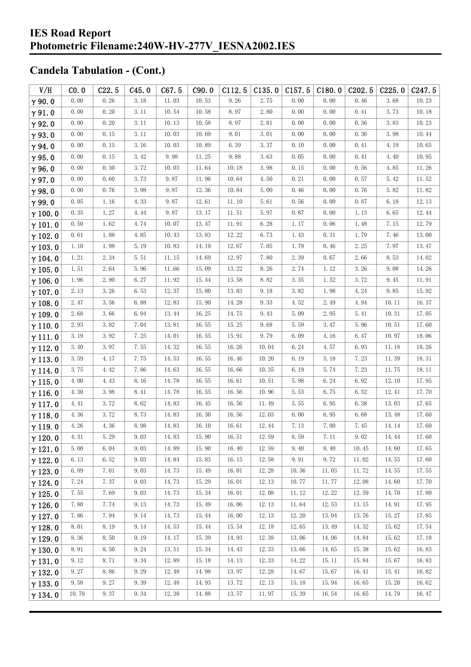| V/H            | CO.0     | C22.5 | C45.0 | C67.5 | C90.0 | C112.5 | C135.0               | C157.5 | C180.0 | C202.5 | C225.0 | C <sub>247.5</sub> |
|----------------|----------|-------|-------|-------|-------|--------|----------------------|--------|--------|--------|--------|--------------------|
| $\gamma$ 90.0  | 0.00     | 0.26  | 3.18  | 11.03 | 10.53 | 9.26   | 2.75                 | 0.00   | 0.00   | 0.46   | 3.68   | 10.23              |
| $\gamma$ 91.0  | 0.00     | 0.20  | 3.11  | 10.54 | 10.58 | 8.97   | 2.80                 | 0.00   | 0.00   | 0.41   | 3.73   | 10.18              |
| $\gamma$ 92.0  | 0.00     | 0.20  | 3.11  | 10.13 | 10.58 | 8.97   | $2.\,\allowbreak 81$ | 0.00   | 0.00   | 0.36   | 3.83   | 10.23              |
| $\gamma$ 93.0  | 0.00     | 0.15  | 3.11  | 10.03 | 10.69 | 9.01   | 3.01                 | 0.00   | 0.00   | 0.36   | 3.98   | 10.44              |
| $\gamma$ 94.0  | 0.00     | 0.15  | 3.16  | 10.03 | 10.89 | 6.39   | 3.37                 | 0.10   | 0.00   | 0.41   | 4.19   | 10.65              |
| $\gamma$ 95.0  | 0.00     | 0.15  | 3.42  | 9.98  | 11.25 | 9.88   | 3.63                 | 0.05   | 0.00   | 0.41   | 4.40   | 10.95              |
| $\gamma$ 96.0  | 0.00     | 0.30  | 3.72  | 10.03 | 11.64 | 10.18  | 3.98                 | 0.15   | 0.00   | 0.56   | 4.85   | 11.26              |
| $\gamma$ 97.0  | 0.00     | 0.60  | 3.73  | 9.87  | 11.96 | 10.64  | 4.50                 | 0.21   | 0.00   | 0.57   | 5.42   | 11.52              |
| $\gamma$ 98.0  | 0.00     | 0.76  | 3.98  | 9.87  | 12.36 | 10.84  | 5.00                 | 0.46   | 0.00   | 0.76   | 5.82   | 11.82              |
| $\gamma$ 99.0  | 0.05     | 1.16  | 4.33  | 9.87  | 12.61 | 11.10  | 5.61                 | 0.56   | 0.00   | 0.87   | 6.18   | 12.13              |
| $\gamma$ 100.0 | 0.35     | 1.27  | 4.44  | 9.87  | 13.17 | 11.51  | 5.97                 | 0.87   | 0.00   | 1.13   | 6.65   | 12.44              |
| $\gamma$ 101.0 | 0.50     | 1.62  | 4.74  | 10.07 | 13.47 | 11.91  | 6.28                 | 1.17   | 0.06   | 1.48   | 7.15   | 12.79              |
| $\gamma$ 102.0 | 0.61     | 1.88  | 4.85  | 10.43 | 13.83 | 12.22  | 6.73                 | 1.43   | 0.31   | 1.79   | 7.46   | 13.00              |
| $\gamma$ 103.0 | 1.10     | 1.98  | 5.19  | 10.83 | 14.19 | 12.67  | 7.05                 | 1.79   | 0.46   | 2.25   | 7.97   | 13.47              |
| $\gamma$ 104.0 | 1.21     | 2.34  | 5.51  | 11.15 | 14.69 | 12.97  | 7.80                 | 2.39   | 0.67   | 2.66   | 8.53   | 14.02              |
| $\gamma$ 105.0 | 1.51     | 2.64  | 5.96  | 11.66 | 15.09 | 13.22  | 8.26                 | 2.74   | 1.12   | 3.26   | 9.08   | 14.26              |
| $\gamma$ 106.0 | 1.96     | 2.90  | 6.27  | 11.92 | 15.44 | 13.58  | 8.82                 | 3.35   | 1.52   | 3.72   | 9.45   | 11.91              |
| $\gamma$ 107.0 | 2.13     | 3.26  | 6.53  | 12.37 | 15.80 | 13.83  | 9.18                 | 3.82   | 1.98   | 4.24   | 9.85   | 15.92              |
| $\gamma$ 108.0 | 2.47     | 3.56  | 6.88  | 12.83 | 15.90 | 14.28  | 9.33                 | 4.52   | 2.49   | 4.94   | 10.11  | 16.37              |
| $\gamma$ 109.0 | 2.68     | 3.66  | 6.94  | 13.44 | 16.25 | 14.75  | 9.43                 | 5.09   | 2.95   | 5.41   | 10.31  | 17.05              |
| $\gamma$ 110.0 | 2.93     | 3.82  | 7.04  | 13.81 | 16.55 | 15.25  | 9.68                 | 5.59   | 3.47   | 5.96   | 10.51  | 17.60              |
| $\gamma$ 111.0 | 3.19     | 3.92  | 7.25  | 14.01 | 16.55 | 15.91  | 9.79                 | 6.09   | 4.16   | 6.47   | 10.97  | 18.06              |
| $\gamma$ 112.0 | 3.40     | 3.97  | 7.55  | 14.32 | 16.55 | 16.26  | 10.04                | 6.24   | 4.57   | 6.93   | 11.18  | 18.26              |
| $\gamma$ 113.0 | 3.59     | 4.17  | 7.75  | 14.53 | 16.55 | 16.46  | 10.20                | 6.19   | 5.18   | 7.23   | 11.39  | 18.31              |
| $\gamma$ 114.0 | 3.75     | 4.42  | 7.86  | 14.63 | 16.55 | 16.66  | 10.35                | 6.19   | 5.74   | 7.23   | 11.75  | 18.11              |
| $\gamma$ 115.0 | 4.00     | 4.43  | 8.16  | 14.78 | 16.55 | 16.61  | 10.51                | 5.98   | 6.24   | 6.92   | 12.10  | 17.95              |
| $\gamma$ 116.0 | 4.30     | 3.98  | 8.41  | 14.78 | 16.55 | 16.56  | 10.96                | 5.53   | 6.75   | 6.52   | 12.41  | 17.70              |
| $\gamma$ 117.0 | 4.41     | 3.72  | 8.62  | 14.83 | 16.45 | 16.56  | 11.49                | 5.55   | 6.95   | 6.38   | 13.03  | 17.65              |
| $\gamma$ 118.0 | 4.36     | 3.72  | 8.73  | 14.83 | 16.30 | 16.56  | 12.03                | 6.00   | 6.95   | 6.68   | 13.48  | 17.60              |
| $\gamma$ 119.0 | $4.\,26$ | 4.36  | 8.98  | 14.83 | 16.10 | 16.61  | 12.44                | 7.13   | 7.00   | 7.45   | 14.14  | 17.60              |
| $\gamma$ 120.0 | 4.31     | 5.29  | 9.03  | 14.83 | 15.90 | 16.51  | 12.59                | 8.59   | 7.11   | 9.02   | 14.44  | 17.60              |
| $\gamma$ 121.0 | 5.00     | 6.04  | 9.03  | 14.89 | 15.90 | 16.40  | 12.59                | 9.40   | 8.40   | 10.45  | 14.60  | 17.65              |
| $\gamma$ 122.0 | 6.13     | 6.52  | 9.03  | 14.84 | 15.83 | 16.15  | 12.58                | 9.91   | 9.72   | 11.02  | 14.55  | 17.60              |
| $\gamma$ 123.0 | 6.89     | 7.01  | 9.03  | 14.73 | 15.49 | 16.01  | 12.28                | 10.36  | 11.03  | 11.72  | 14.55  | 17.55              |
| $\gamma$ 124.0 | 7.24     | 7.37  | 9.03  | 14.73 | 15.29 | 16.01  | 12.13                | 10.77  | 11.77  | 12.08  | 14.60  | 17.70              |
| $\gamma$ 125.0 | 7.55     | 7.69  | 9.03  | 14.73 | 15.34 | 16.01  | 12.08                | 11.12  | 12.22  | 12.59  | 14.70  | 17.80              |
| $\gamma$ 126.0 | 7.80     | 7.74  | 9.13  | 14.73 | 15.49 | 16.06  | 12.13                | 11.64  | 12.53  | 13.15  | 14.91  | 17.95              |
| $\gamma$ 127.0 | 7.86     | 7.94  | 9.14  | 14.73 | 15.44 | 16.00  | 12.13                | 12.20  | 13.04  | 13.76  | 15.27  | 17.85              |
| $\gamma$ 128.0 | 8.01     | 8.19  | 9.14  | 14.53 | 15.44 | 15.54  | 12.18                | 12.65  | 13.49  | 14.32  | 15.62  | 17.54              |
| $\gamma$ 129.0 | 8.36     | 8.50  | 9.19  | 14.17 | 15.39 | 14.93  | 12.38                | 13.06  | 14.06  | 14.84  | 15.62  | 17.18              |
| $\gamma$ 130.0 | 8.91     | 8.50  | 9.24  | 13.51 | 15.34 | 14.43  | 12.33                | 13.66  | 14.65  | 15.38  | 15.62  | 16.83              |
| $\gamma$ 131.0 | 9.12     | 8.71  | 9.34  | 12.89 | 15.18 | 14.13  | 12.33                | 14.22  | 15.11  | 15.84  | 15.67  | 16.83              |
| $\gamma$ 132.0 | 9.27     | 8.86  | 9.29  | 12.48 | 14.98 | 13.97  | 12.28                | 14.67  | 15.67  | 16.41  | 15.41  | 16.82              |
| $\gamma$ 133.0 | 9.58     | 9.27  | 9.39  | 12.48 | 14.93 | 13.72  | 12.13                | 15.18  | 15.94  | 16.65  | 15.20  | 16.62              |
| $\gamma$ 134.0 | 10.78    | 9.37  | 9.34  | 12.38 | 14.88 | 13.57  | 11.97                | 15.39  | 16.54  | 16.65  | 14.79  | 16.47              |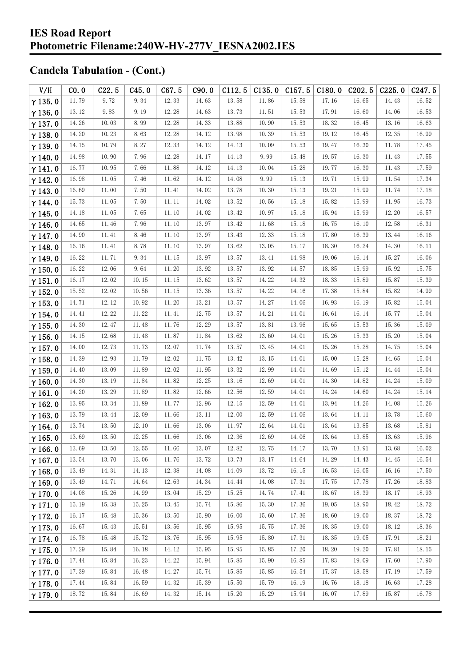| V/H            | CO.0  | C22.5 | C45.0 | C67.5 | C90.0 | C112.5 | C135.0 | C157.5 | C180.0 | C <sub>2</sub> 02.5 | C225.0 | C <sub>247.5</sub> |
|----------------|-------|-------|-------|-------|-------|--------|--------|--------|--------|---------------------|--------|--------------------|
| $\gamma$ 135.0 | 11.79 | 9.72  | 9.34  | 12.33 | 14.63 | 13.58  | 11.86  | 15.58  | 17.16  | 16.65               | 14.43  | 16.52              |
| $\gamma$ 136.0 | 13.12 | 9.83  | 9.19  | 12.28 | 14.63 | 13.73  | 11.51  | 15.53  | 17.91  | 16.60               | 14.06  | 16.53              |
| $\gamma$ 137.0 | 14.26 | 10.03 | 8.99  | 12.28 | 14.33 | 13.88  | 10.90  | 15.53  | 18.32  | 16.45               | 13.16  | 16.63              |
| $\gamma$ 138.0 | 14.20 | 10.23 | 8.63  | 12.28 | 14.12 | 13.98  | 10.39  | 15.53  | 19.12  | 16.45               | 12.35  | 16.99              |
| $\gamma$ 139.0 | 14.15 | 10.79 | 8.27  | 12.33 | 14.12 | 14.13  | 10.09  | 15.53  | 19.47  | 16.30               | 11.78  | 17.45              |
| $\gamma$ 140.0 | 14.98 | 10.90 | 7.96  | 12.28 | 14.17 | 14.13  | 9.99   | 15.48  | 19.57  | 16.30               | 11.43  | 17.55              |
| $\gamma$ 141.0 | 16.77 | 10.95 | 7.66  | 11.88 | 14.12 | 14.13  | 10.04  | 15.28  | 19.77  | 16.30               | 11.43  | 17.59              |
| $\gamma$ 142.0 | 16.98 | 11.05 | 7.46  | 11.62 | 14.12 | 14.08  | 9.99   | 15.13  | 19.71  | 15.99               | 11.54  | 17.34              |
| $\gamma$ 143.0 | 16.69 | 11.00 | 7.50  | 11.41 | 14.02 | 13.78  | 10.30  | 15.13  | 19.21  | 15.99               | 11.74  | 17.18              |
| $\gamma$ 144.0 | 15.73 | 11.05 | 7.50  | 11.11 | 14.02 | 13.52  | 10.56  | 15.18  | 15.82  | 15.99               | 11.95  | 16.73              |
| $\gamma$ 145.0 | 14.18 | 11.05 | 7.65  | 11.10 | 14.02 | 13.42  | 10.97  | 15.18  | 15.94  | 15.99               | 12.20  | 16.57              |
| $\gamma$ 146.0 | 14.65 | 11.46 | 7.96  | 11.10 | 13.97 | 13.42  | 11.68  | 15.18  | 16.75  | 16.10               | 12.58  | 16.31              |
| $\gamma$ 147.0 | 14.90 | 11.41 | 8.46  | 11.10 | 13.97 | 13.43  | 12.33  | 15.18  | 17.80  | 16.39               | 13.44  | 16.16              |
| $\gamma$ 148.0 | 16.16 | 11.41 | 8.78  | 11.10 | 13.97 | 13.62  | 13.05  | 15.17  | 18.30  | 16.24               | 14.30  | 16.11              |
| $\gamma$ 149.0 | 16.22 | 11.71 | 9.34  | 11.15 | 13.97 | 13.57  | 13.41  | 14.98  | 19.06  | 16.14               | 15.27  | 16.06              |
| $\gamma$ 150.0 | 16.22 | 12.06 | 9.64  | 11.20 | 13.92 | 13.57  | 13.92  | 14.57  | 18.85  | 15.99               | 15.92  | 15.75              |
| $\gamma$ 151.0 | 16.17 | 12.02 | 10.15 | 11.15 | 13.62 | 13.57  | 14.22  | 14.32  | 18.33  | 15.89               | 15.87  | 15.39              |
| $\gamma$ 152.0 | 15.52 | 12.02 | 10.56 | 11.15 | 13.36 | 13.57  | 14.22  | 14.16  | 17.38  | 15.84               | 15.82  | 14.99              |
| $\gamma$ 153.0 | 14.71 | 12.12 | 10.92 | 11.20 | 13.21 | 13.57  | 14.27  | 14.06  | 16.93  | 16.19               | 15.82  | 15.04              |
| $\gamma$ 154.0 | 14.41 | 12.22 | 11.22 | 11.41 | 12.75 | 13.57  | 14.21  | 14.01  | 16.61  | 16.14               | 15.77  | 15.04              |
| $\gamma$ 155.0 | 14.30 | 12.47 | 11.48 | 11.76 | 12.29 | 13.57  | 13.81  | 13.96  | 15.65  | 15.53               | 15.36  | 15.09              |
| $\gamma$ 156.0 | 14.15 | 12.68 | 11.48 | 11.87 | 11.84 | 13.62  | 13.60  | 14.01  | 15.26  | 15.33               | 15.20  | 15.04              |
| $\gamma$ 157.0 | 14.00 | 12.73 | 11.73 | 12.07 | 11.74 | 13.57  | 13.45  | 14.01  | 15.26  | 15.28               | 14.75  | 15.04              |
| $\gamma$ 158.0 | 14.39 | 12.93 | 11.79 | 12.02 | 11.75 | 13.42  | 13.15  | 14.01  | 15.00  | 15.28               | 14.65  | 15.04              |
| $\gamma$ 159.0 | 14.40 | 13.09 | 11.89 | 12.02 | 11.95 | 13.32  | 12.99  | 14.01  | 14.69  | 15.12               | 14.44  | 15.04              |
| $\gamma$ 160.0 | 14.30 | 13.19 | 11.84 | 11.82 | 12.25 | 13.16  | 12.69  | 14.01  | 14.30  | 14.82               | 14.24  | 15.09              |
| $\gamma$ 161.0 | 14.20 | 13.29 | 11.89 | 11.82 | 12.66 | 12.56  | 12.59  | 14.01  | 14.24  | 14.60               | 14.24  | 15.14              |
| $\gamma$ 162.0 | 13.95 | 13.34 | 11.89 | 11.77 | 12.96 | 12.15  | 12.59  | 14.01  | 13.94  | 14.26               | 14.08  | 15.26              |
| $\gamma$ 163.0 | 13.79 | 13.44 | 12.09 | 11.66 | 13.11 | 12.00  | 12.59  | 14.06  | 13.64  | 14.11               | 13.78  | 15.60              |
| $\gamma$ 164.0 | 13.74 | 13.50 | 12.10 | 11.66 | 13.06 | 11.97  | 12.64  | 14.01  | 13.64  | 13.85               | 13.68  | 15.81              |
| $\gamma$ 165.0 | 13.69 | 13.50 | 12.25 | 11.66 | 13.06 | 12.36  | 12.69  | 14.06  | 13.64  | 13.85               | 13.63  | 15.96              |
| $\gamma$ 166.0 | 13.69 | 13.50 | 12.55 | 11.66 | 13.07 | 12.82  | 12.75  | 14.17  | 13.70  | 13.91               | 13.68  | 16.02              |
| $\gamma$ 167.0 | 13.54 | 13.70 | 13.06 | 11.76 | 13.72 | 13.73  | 13.17  | 14.64  | 14.29  | 14.43               | 14.45  | 16.54              |
| $\gamma$ 168.0 | 13.49 | 14.31 | 14.13 | 12.38 | 14.08 | 14.09  | 13.72  | 16.15  | 16.53  | 16.05               | 16.16  | 17.50              |
| $\gamma$ 169.0 | 13.49 | 14.71 | 14.64 | 12.63 | 14.34 | 14.44  | 14.08  | 17.31  | 17.75  | 17.78               | 17.26  | 18.83              |
| $\gamma$ 170.0 | 14.08 | 15.26 | 14.99 | 13.04 | 15.29 | 15.25  | 14.74  | 17.41  | 18.67  | 18.39               | 18.17  | 18.93              |
| $\gamma$ 171.0 | 15.19 | 15.38 | 15.25 | 13.45 | 15.74 | 15.86  | 15.30  | 17.36  | 19.05  | 18.90               | 18.42  | 18.72              |
| $\gamma$ 172.0 | 16.17 | 15.48 | 15.36 | 13.50 | 15.90 | 16.00  | 15.60  | 17.36  | 18.60  | 19.00               | 18.37  | 18.72              |
| $\gamma$ 173.0 | 16.67 | 15.43 | 15.51 | 13.56 | 15.95 | 15.95  | 15.75  | 17.36  | 18.35  | 19.00               | 18.12  | 18.36              |
| $\gamma$ 174.0 | 16.78 | 15.48 | 15.72 | 13.76 | 15.95 | 15.95  | 15.80  | 17.31  | 18.35  | 19.05               | 17.91  | 18.21              |
| $\gamma$ 175.0 | 17.29 | 15.84 | 16.18 | 14.12 | 15.95 | 15.95  | 15.85  | 17.20  | 18.20  | 19.20               | 17.81  | 18.15              |
| $\gamma$ 176.0 | 17.44 | 15.84 | 16.23 | 14.22 | 15.94 | 15.85  | 15.90  | 16.85  | 17.83  | 19.09               | 17.60  | 17.90              |
| $\gamma$ 177.0 | 17.39 | 15.84 | 16.48 | 14.27 | 15.74 | 15.85  | 15.85  | 16.54  | 17.37  | 18.58               | 17.19  | 17.59              |
| $\gamma$ 178.0 | 17.44 | 15.84 | 16.59 | 14.32 | 15.39 | 15.50  | 15.79  | 16.19  | 16.76  | 18.18               | 16.63  | 17.28              |
| $\gamma$ 179.0 | 18.72 | 15.84 | 16.69 | 14.32 | 15.14 | 15.20  | 15.29  | 15.94  | 16.07  | 17.89               | 15.87  | 16.78              |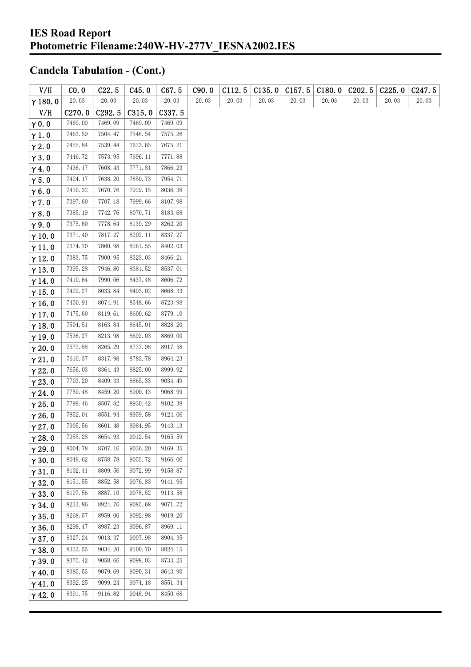| V/H            | CO.0    | C22.5                 | C45.0   | C67.5   | C90.0 | C112.5 | C135.0 | C157.5 | C180.0 | C202.5 | C225.0 | C <sub>247.5</sub> |
|----------------|---------|-----------------------|---------|---------|-------|--------|--------|--------|--------|--------|--------|--------------------|
| $\gamma$ 180.0 | 20.03   | $20.\,\allowbreak 03$ | 20.03   | 20.03   | 20.03 | 20.03  | 20.03  | 20.03  | 20.03  | 20.03  | 20.03  | 20.03              |
| V/H            | C270.0  | C292.5                | C315.0  | C337.5  |       |        |        |        |        |        |        |                    |
| $\gamma$ 0.0   | 7469.09 | 7469.09               | 7469.09 | 7469.09 |       |        |        |        |        |        |        |                    |
| $\gamma$ 1.0   | 7463.59 | 7504.47               | 7548.54 | 7575.26 |       |        |        |        |        |        |        |                    |
| $\gamma$ 2.0   | 7455.84 | 7539.44               | 7623.65 | 7675.21 |       |        |        |        |        |        |        |                    |
| $\gamma$ 3.0   | 7446.72 | 7573.95               | 7696.11 | 7771.88 |       |        |        |        |        |        |        |                    |
| $\gamma$ 4.0   | 7436.17 | 7608.43               | 7771.81 | 7866.23 |       |        |        |        |        |        |        |                    |
| $\gamma$ 5.0   | 7424.17 | 7638.20               | 7850.73 | 7954.71 |       |        |        |        |        |        |        |                    |
| $\gamma$ 6.0   | 7410.32 | 7670.76               | 7929.15 | 8036.38 |       |        |        |        |        |        |        |                    |
| $\gamma$ 7.0   | 7397.60 | 7707.18               | 7999.66 | 8107.98 |       |        |        |        |        |        |        |                    |
| $\gamma$ 8.0   | 7385.19 | 7742.76               | 8070.71 | 8183.68 |       |        |        |        |        |        |        |                    |
| $\gamma$ 9.0   | 7375.60 | 7778.64               | 8139.29 | 8262.20 |       |        |        |        |        |        |        |                    |
| $\gamma$ 10.0  | 7371.40 | 7817.27               | 8202.11 | 8337.27 |       |        |        |        |        |        |        |                    |
| $\gamma$ 11.0  | 7374.70 | 7860.98               | 8261.55 | 8402.03 |       |        |        |        |        |        |        |                    |
| $\gamma$ 12.0  | 7383.75 | 7900.95               | 8323.03 | 8466.21 |       |        |        |        |        |        |        |                    |
| $\gamma$ 13.0  | 7395.28 | 7946.80               | 8381.52 | 8537.01 |       |        |        |        |        |        |        |                    |
| $\gamma$ 14.0  | 7410.64 | 7990.06               | 8437.48 | 8606.72 |       |        |        |        |        |        |        |                    |
| $\gamma$ 15.0  | 7429.27 | 8033.84               | 8493.02 | 8668.33 |       |        |        |        |        |        |        |                    |
| $\gamma$ 16.0  | 7450.91 | 8074.91               | 8548.66 | 8723.98 |       |        |        |        |        |        |        |                    |
| $\gamma$ 17.0  | 7475.60 | 8119.61               | 8600.62 | 8779.10 |       |        |        |        |        |        |        |                    |
| $\gamma$ 18.0  | 7504.51 | 8163.84               | 8645.01 | 8828.20 |       |        |        |        |        |        |        |                    |
| $\gamma$ 19.0  | 7536.27 | 8213.98               | 8692.03 | 8869.00 |       |        |        |        |        |        |        |                    |
| $\gamma$ 20.0  | 7572.88 | 8265.29               | 8737.98 | 8917.58 |       |        |        |        |        |        |        |                    |
| $\gamma$ 21.0  | 7610.37 | 8317.98               | 8783.78 | 8964.23 |       |        |        |        |        |        |        |                    |
| $\gamma$ 22.0  | 7656.03 | 8364.43               | 8825.00 | 8999.92 |       |        |        |        |        |        |        |                    |
| $\gamma$ 23.0  | 7703.20 | 8409.33               | 8865.33 | 9034.49 |       |        |        |        |        |        |        |                    |
| $\gamma$ 24.0  | 7750.48 | 8459.20               | 8900.13 | 9068.99 |       |        |        |        |        |        |        |                    |
| $\gamma$ 25.0  | 7799.46 | 8507.82               | 8930.42 | 9102.38 |       |        |        |        |        |        |        |                    |
| $\gamma$ 26.0  | 7852.04 | 8551.94               | 8959.58 | 9124.06 |       |        |        |        |        |        |        |                    |
| $\gamma$ 27.0  | 7905.56 | 8601.48               | 8984.95 | 9143.13 |       |        |        |        |        |        |        |                    |
| $\gamma$ 28.0  | 7955.28 | 8654.93               | 9012.54 | 9165.59 |       |        |        |        |        |        |        |                    |
| $\gamma$ 29.0  | 8004.78 | 8707.16               | 9036.20 | 9169.35 |       |        |        |        |        |        |        |                    |
| $\gamma$ 30.0  | 8049.62 | 8758.78               | 9055.72 | 9166.06 |       |        |        |        |        |        |        |                    |
| $\gamma$ 31.0  | 8102.41 | 8809.56               | 9072.99 | 9158.87 |       |        |        |        |        |        |        |                    |
| $\gamma$ 32.0  | 8151.55 | 8852.58               | 9076.83 | 9141.95 |       |        |        |        |        |        |        |                    |
| $\gamma$ 33.0  | 8197.56 | 8887.10               | 9078.52 | 9113.58 |       |        |        |        |        |        |        |                    |
| $\gamma$ 34.0  | 8233.86 | 8924.76               | 9085.68 | 9071.72 |       |        |        |        |        |        |        |                    |
| $\gamma$ 35.0  | 8268.57 | 8959.06               | 9092.98 | 9019.20 |       |        |        |        |        |        |        |                    |
| $\gamma$ 36.0  | 8298.47 | 8987.23               | 9096.87 | 8969.11 |       |        |        |        |        |        |        |                    |
| $\gamma$ 37.0  | 8327.24 | 9013.37               | 9097.98 | 8904.35 |       |        |        |        |        |        |        |                    |
| $\gamma$ 38.0  | 8353.55 | 9034.20               | 9100.70 | 8824.15 |       |        |        |        |        |        |        |                    |
| $\gamma$ 39.0  | 8375.42 | 9058.66               | 9098.03 | 8733.25 |       |        |        |        |        |        |        |                    |
| $\gamma$ 40.0  | 8385.53 | 9079.69               | 9090.31 | 8643.90 |       |        |        |        |        |        |        |                    |
| $\gamma$ 41.0  | 8392.25 | 9099.24               | 9074.18 | 8551.34 |       |        |        |        |        |        |        |                    |
| $\gamma$ 42.0  | 8391.75 | 9116.82               | 9048.94 | 8450.68 |       |        |        |        |        |        |        |                    |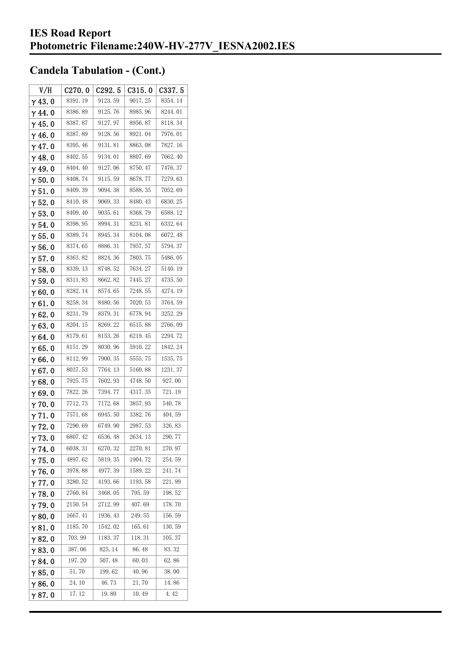| V/H            | C270.0  | C292.5  | C315.0  | C337.5  |
|----------------|---------|---------|---------|---------|
| $\gamma$ 43.0  | 8391.19 | 9123.59 | 9017.25 | 8354.14 |
| $\gamma$ 44.0  | 8386.89 | 9125.76 | 8985.96 | 8244.01 |
| $\gamma$ 45. 0 | 8387.87 | 9127.97 | 8956.87 | 8118.34 |
| $\gamma$ 46.0  | 8387.89 | 9128.56 | 8921.04 | 7976.01 |
| $\gamma$ 47.0  | 8395.46 | 9131.81 | 8863.08 | 7827.16 |
| $\gamma$ 48.0  | 8402.55 | 9134.01 | 8807.69 | 7662.40 |
| γ49.0          | 8404.40 | 9127.06 | 8750.47 | 7476.37 |
| $\gamma$ 50.0  | 8408.74 | 9115.59 | 8678.77 | 7279.63 |
| $\gamma$ 51.0  | 8409.39 | 9094.38 | 8588.35 | 7052.69 |
| $\gamma$ 52. 0 | 8410.48 | 9069.33 | 8480.43 | 6830.25 |
| $\gamma$ 53.0  | 8409.40 | 9035.61 | 8368.79 | 6588.12 |
| $\gamma$ 54. 0 | 8398.95 | 8994.31 | 8231.81 | 6332.64 |
| $\gamma$ 55.0  | 8389.74 | 8945.34 | 8104.08 | 6072.48 |
| γ56.0          | 8374.65 | 8886.31 | 7957.57 | 5794.37 |
| $\gamma$ 57. 0 | 8363.82 | 8824.36 | 7803.75 | 5486.05 |
| $\gamma$ 58.0  | 8339.13 | 8748.52 | 7634.27 | 5140.19 |
| $\gamma$ 59.0  | 8311.83 | 8662.82 | 7445.27 | 4735.50 |
| $\gamma$ 60.0  | 8282.14 | 8574.65 | 7248.55 | 4274.19 |
| $\gamma$ 61.0  | 8258.34 | 8480.56 | 7020.53 | 3764.59 |
| $\gamma$ 62.0  | 8231.79 | 8379.31 | 6778.94 | 3252.29 |
| $\gamma$ 63.0  | 8204.15 | 8269.22 | 6515.88 | 2766.09 |
| γ64.0          | 8179.61 | 8153.26 | 6219.45 | 2294.72 |
| γ65.0          | 8151.29 | 8030.96 | 5910.22 | 1842.24 |
| γ66.0          | 8112.99 | 7900.35 | 5555.75 | 1535.75 |
| $\gamma$ 67. 0 | 8037.53 | 7764.13 | 5160.88 | 1231.37 |
| $\gamma$ 68.0  | 7925.75 | 7602.93 | 4748.50 | 927.00  |
| $\gamma$ 69.0  | 7822.26 | 7394.77 | 4317.35 | 721.19  |
| $\gamma$ 70.0  | 7712.73 | 7172.68 | 3857.93 | 540.78  |
| $\gamma$ 71.0  | 7571.68 | 6945.50 | 3382.76 | 404.59  |
| $\gamma$ 72.0  | 7290.69 | 6749.90 | 2987.53 | 326.83  |
| $\gamma$ 73.0  | 6807.42 | 6536.48 | 2634.13 | 290.77  |
| $\gamma$ 74.0  | 6038.31 | 6270.32 | 2270.81 | 270.97  |
| $\gamma$ 75.0  | 4897.62 | 5819.35 | 1904.72 | 254.59  |
| $\gamma$ 76.0  | 3978.88 | 4977.39 | 1589.22 | 241.74  |
| $\gamma$ 77.0  | 3280.52 | 4193.66 | 1193.58 | 221.99  |
| $\gamma$ 78.0  | 2760.84 | 3468.05 | 795.59  | 198.52  |
| $\gamma$ 79.0  | 2150.54 | 2712.99 | 407.69  | 178.70  |
| $\gamma$ 80.0  | 1667.41 | 1936.43 | 249.55  | 156.59  |
| γ81.0          | 1185.70 | 1542.02 | 165.61  | 130.59  |
| $\gamma$ 82.0  | 703.99  | 1183.37 | 118.31  | 105.37  |
| $\gamma$ 83.0  | 387.06  | 825.14  | 86.48   | 83.32   |
| $\gamma$ 84.0  | 197.20  | 507.48  | 60.03   | 62.86   |
| $\gamma$ 85.0  | 51.70   | 199.62  | 40.96   | 38.00   |
| $\gamma$ 86.0  | 24.10   | 46.73   | 21.70   | 14.86   |
| γ87. O         | 17.12   | 19.80   | 10.49   | 4.42    |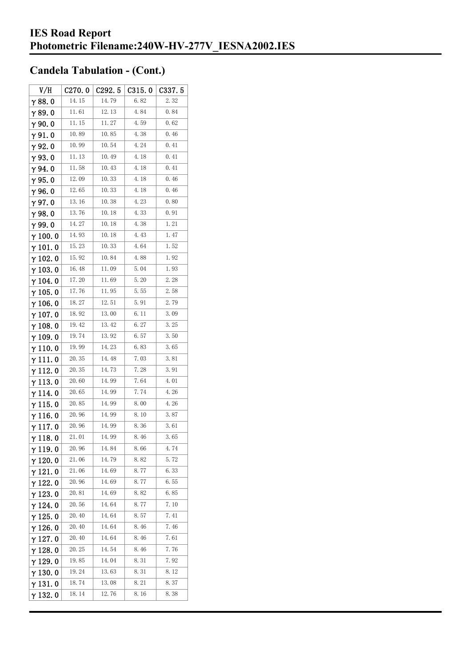| V/H             | C270.0 | C292.5 | C315.0 | C337.5           |
|-----------------|--------|--------|--------|------------------|
| $\gamma$ 88. 0  | 14.15  | 14.79  | 6.82   | 2. <sub>32</sub> |
| γ89.0           | 11.61  | 12.13  | 4.84   | 0.84             |
| $\gamma$ 90.0   | 11.15  | 11.27  | 4.59   | 0.62             |
| $\gamma$ 91.0   | 10.89  | 10.85  | 4.38   | 0.46             |
| γ92.0           | 10.99  | 10.54  | 4.24   | 0.41             |
| $\gamma$ 93.0   | 11.13  | 10.49  | 4.18   | 0.41             |
| $\gamma$ 94.0   | 11.58  | 10.43  | 4.18   | 0.41             |
| $\gamma$ 95.0   | 12.09  | 10.33  | 4.18   | 0.46             |
| γ96.0           | 12.65  | 10.33  | 4.18   | 0.46             |
| $\gamma$ 97.0   | 13.16  | 10.38  | 4.23   | 0.80             |
| $\gamma$ 98.0   | 13.76  | 10.18  | 4.33   | 0.91             |
| γ99.0           | 14.27  | 10.18  | 4.38   | 1.21             |
| $\gamma$ 100. 0 | 14.93  | 10.18  | 4.43   | 1.47             |
| $\gamma$ 101.0  | 15.23  | 10.33  | 4.64   | 1.52             |
| $\gamma$ 102.0  | 15.92  | 10.84  | 4.88   | 1.92             |
| $\gamma$ 103. 0 | 16.48  | 11.09  | 5.04   | 1.93             |
| $\gamma$ 104.0  | 17.20  | 11.69  | 5.20   | 2.28             |
| $\gamma$ 105.0  | 17.76  | 11.95  | 5.55   | 2.58             |
| $\gamma$ 106. 0 | 18.27  | 12.51  | 5.91   | 2.79             |
| $\gamma$ 107. 0 | 18.92  | 13.00  | 6. 11  | 3.09             |
| $\gamma$ 108. 0 | 19.42  | 13.42  | 6.27   | 3.25             |
| $\gamma$ 109.0  | 19.74  | 13.92  | 6.57   | 3.50             |
| $\gamma$ 110. 0 | 19.99  | 14.23  | 6.83   | 3.65             |
| γ111.0          | 20.35  | 14.48  | 7.03   | 3.81             |
| $\gamma$ 112. 0 | 20.35  | 14.73  | 7.28   | 3.91             |
| $\gamma$ 113. 0 | 20.60  | 14.99  | 7.64   | 4.01             |
| γ 114. 0        | 20.65  | 14. 99 | 7.74   | 4.26             |
| γ115.0          | 20.85  | 14.99  | 8.00   | 4.26             |
| γ116.0          | 20.96  | 14. 99 | 8.10   | 3.87             |
| γ117.0          | 20.96  | 14.99  | 8.36   | 3.61             |
| $\gamma$ 118.0  | 21.01  | 14.99  | 8.46   | 3.65             |
| $\gamma$ 119.0  | 20.96  | 14.84  | 8.66   | 4.74             |
| $\gamma$ 120.0  | 21.06  | 14.79  | 8.82   | 5.72             |
| $\gamma$ 121.0  | 21.06  | 14. 69 | 8.77   | 6.33             |
| $\gamma$ 122. 0 | 20.96  | 14.69  | 8.77   | 6.55             |
| $\gamma$ 123.0  | 20. 81 | 14. 69 | 8.82   | 6.85             |
| $\gamma$ 124.0  | 20.56  | 14.64  | 8.77   | 7.10             |
| $\gamma$ 125. 0 | 20.40  | 14.64  | 8.57   | 7.41             |
| γ 126. 0        | 20.40  | 14.64  | 8.46   | 7.46             |
| $\gamma$ 127. 0 | 20.40  | 14.64  | 8.46   | 7.61             |
| $\gamma$ 128. 0 | 20.25  | 14.54  | 8.46   | 7.76             |
| γ 129. 0        | 19.85  | 14.04  | 8.31   | 7.92             |
| $\gamma$ 130. 0 | 19.24  | 13.63  | 8.31   | 8.12             |
| γ131.0          | 18.74  | 13.08  | 8.21   | 8.37             |
| $\gamma$ 132. 0 | 18.14  | 12.76  | 8.16   | 8.38             |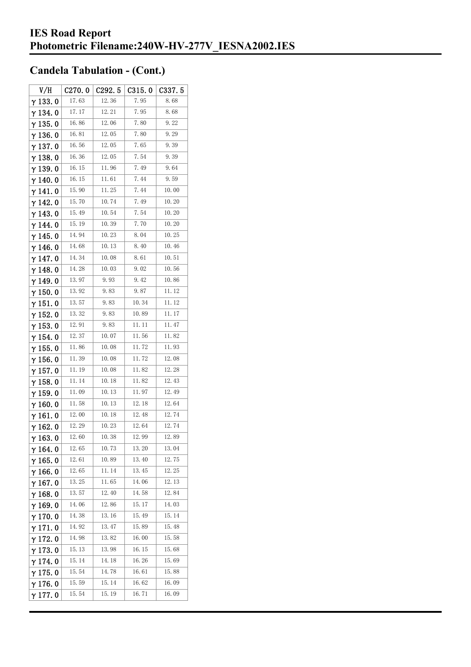| V/H             | C270.0 | C292. 5 | C315.0 | C337.5 |
|-----------------|--------|---------|--------|--------|
| $\gamma$ 133.0  | 17.63  | 12.36   | 7.95   | 8.68   |
| γ134.0          | 17.17  | 12.21   | 7.95   | 8.68   |
| $\gamma$ 135. 0 | 16.86  | 12.06   | 7.80   | 9.22   |
| $\gamma$ 136.0  | 16.81  | 12.05   | 7.80   | 9.29   |
| $\gamma$ 137. 0 | 16.56  | 12.05   | 7.65   | 9.39   |
| $\gamma$ 138.0  | 16.36  | 12.05   | 7.54   | 9.39   |
| γ139.0          | 16.15  | 11.96   | 7.49   | 9.64   |
| $\gamma$ 140.0  | 16.15  | 11.61   | 7.44   | 9.59   |
| $\gamma$ 141. 0 | 15.90  | 11.25   | 7.44   | 10.00  |
| $\gamma$ 142. 0 | 15.70  | 10.74   | 7.49   | 10.20  |
| $\gamma$ 143.0  | 15.49  | 10.54   | 7.54   | 10.20  |
| $\gamma$ 144. 0 | 15.19  | 10.39   | 7.70   | 10.20  |
| γ 145. 0        | 14.94  | 10.23   | 8.04   | 10.25  |
| γ146.0          | 14.68  | 10.13   | 8.40   | 10.46  |
| $\gamma$ 147.0  | 14.34  | 10.08   | 8.61   | 10.51  |
| γ148.0          | 14.28  | 10.03   | 9.02   | 10.56  |
| $\gamma$ 149. 0 | 13.97  | 9.93    | 9.42   | 10.86  |
| $\gamma$ 150. 0 | 13.92  | 9.83    | 9.87   | 11.12  |
| $\gamma$ 151.0  | 13.57  | 9.83    | 10.34  | 11. 12 |
| $\gamma$ 152.0  | 13.32  | 9.83    | 10.89  | 11.17  |
| $\gamma$ 153. 0 | 12.91  | 9.83    | 11. 11 | 11.47  |
| $\gamma$ 154.0  | 12.37  | 10.07   | 11.56  | 11.82  |
| $\gamma$ 155. 0 | 11.86  | 10.08   | 11.72  | 11.93  |
| $\gamma$ 156. 0 | 11.39  | 10.08   | 11. 72 | 12.08  |
| $\gamma$ 157. 0 | 11.19  | 10.08   | 11.82  | 12.28  |
| $\gamma$ 158.0  | 11.14  | 10.18   | 11.82  | 12.43  |
| $\gamma$ 159. 0 | 11.09  | 10.13   | 11.97  | 12.49  |
| $\gamma$ 160.0  | 11.58  | 10.13   | 12.18  | 12.64  |
| $\gamma$ 161. 0 | 12.00  | 10.18   | 12.48  | 12.74  |
| $\gamma$ 162.0  | 12.29  | 10.23   | 12.64  | 12.74  |
| $\gamma$ 163.0  | 12.60  | 10.38   | 12.99  | 12.89  |
| $\gamma$ 164. 0 | 12.65  | 10.73   | 13.20  | 13.04  |
| $\gamma$ 165.0  | 12.61  | 10.89   | 13.40  | 12.75  |
| $\gamma$ 166.0  | 12.65  | 11.14   | 13.45  | 12.25  |
| $\gamma$ 167. 0 | 13.25  | 11.65   | 14.06  | 12.13  |
| $\gamma$ 168.0  | 13.57  | 12.40   | 14.58  | 12.84  |
| $\gamma$ 169.0  | 14.06  | 12.86   | 15.17  | 14.03  |
| $\gamma$ 170.0  | 14.38  | 13.16   | 15.49  | 15.14  |
| $\gamma$ 171.0  | 14.92  | 13.47   | 15.89  | 15.48  |
| $\gamma$ 172.0  | 14.98  | 13.82   | 16.00  | 15.58  |
| $\gamma$ 173.0  | 15.13  | 13.98   | 16.15  | 15.68  |
| $\gamma$ 174.0  | 15.14  | 14.18   | 16. 26 | 15.69  |
| $\gamma$ 175.0  | 15.54  | 14.78   | 16.61  | 15.88  |
| $\gamma$ 176.0  | 15.59  | 15.14   | 16.62  | 16.09  |
| γ177.0          | 15.54  | 15.19   | 16.71  | 16.09  |